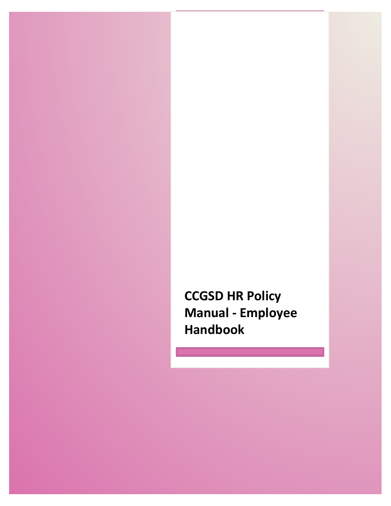**CCGSD HR Policy Manual - Employee Handbook**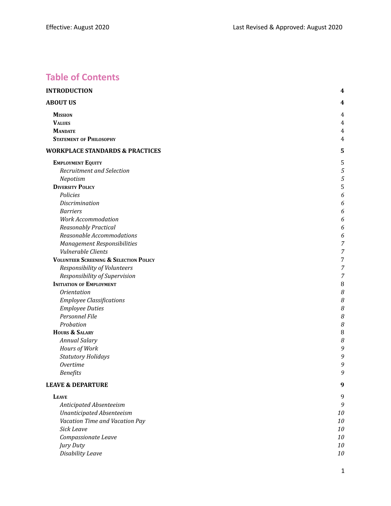# **Table of Contents**

| 4<br><b>MISSION</b><br>4<br><b>VALUES</b><br>4<br><b>MANDATE</b><br>4<br><b>STATEMENT OF PHILOSOPHY</b><br>$\overline{4}$<br>5<br><b>EMPLOYMENT EQUITY</b><br>5<br>5<br>Recruitment and Selection<br>5<br>Nepotism<br><b>DIVERSITY POLICY</b><br>5<br>Policies<br>6<br>Discrimination<br>6<br><b>Barriers</b><br>6<br><b>Work Accommodation</b><br>6<br>Reasonably Practical<br>6<br>Reasonable Accommodations<br>6<br><b>Management Responsibilities</b><br>7<br>Vulnerable Clients<br>7<br><b>VOLUNTEER SCREENING &amp; SELECTION POLICY</b><br>7<br>Responsibility of Volunteers<br>7<br>Responsibility of Supervision<br>7<br><b>INITIATION OF EMPLOYMENT</b><br>8<br>8<br><i><b>Orientation</b></i><br>8<br><b>Employee Classifications</b><br>8<br><b>Employee Duties</b><br>Personnel File<br>8<br>Probation<br>8<br><b>HOURS &amp; SALARY</b><br>8<br>8<br><b>Annual Salary</b><br>Hours of Work<br>9<br>9<br><b>Statutory Holidays</b><br><b>Overtime</b><br>9<br><b>Benefits</b><br>9<br>9<br>9<br><b>LEAVE</b><br>9<br>Anticipated Absenteeism<br><b>Unanticipated Absenteeism</b><br>10<br>Vacation Time and Vacation Pay<br>$10\,$<br><b>Sick Leave</b><br>10<br>10<br>Compassionate Leave<br>10<br>Jury Duty<br>Disability Leave<br>$10\,$ | <b>INTRODUCTION</b>                        | 4 |
|----------------------------------------------------------------------------------------------------------------------------------------------------------------------------------------------------------------------------------------------------------------------------------------------------------------------------------------------------------------------------------------------------------------------------------------------------------------------------------------------------------------------------------------------------------------------------------------------------------------------------------------------------------------------------------------------------------------------------------------------------------------------------------------------------------------------------------------------------------------------------------------------------------------------------------------------------------------------------------------------------------------------------------------------------------------------------------------------------------------------------------------------------------------------------------------------------------------------------------------------------------|--------------------------------------------|---|
|                                                                                                                                                                                                                                                                                                                                                                                                                                                                                                                                                                                                                                                                                                                                                                                                                                                                                                                                                                                                                                                                                                                                                                                                                                                          | <b>ABOUT US</b>                            |   |
|                                                                                                                                                                                                                                                                                                                                                                                                                                                                                                                                                                                                                                                                                                                                                                                                                                                                                                                                                                                                                                                                                                                                                                                                                                                          |                                            |   |
|                                                                                                                                                                                                                                                                                                                                                                                                                                                                                                                                                                                                                                                                                                                                                                                                                                                                                                                                                                                                                                                                                                                                                                                                                                                          |                                            |   |
|                                                                                                                                                                                                                                                                                                                                                                                                                                                                                                                                                                                                                                                                                                                                                                                                                                                                                                                                                                                                                                                                                                                                                                                                                                                          |                                            |   |
|                                                                                                                                                                                                                                                                                                                                                                                                                                                                                                                                                                                                                                                                                                                                                                                                                                                                                                                                                                                                                                                                                                                                                                                                                                                          |                                            |   |
|                                                                                                                                                                                                                                                                                                                                                                                                                                                                                                                                                                                                                                                                                                                                                                                                                                                                                                                                                                                                                                                                                                                                                                                                                                                          | <b>WORKPLACE STANDARDS &amp; PRACTICES</b> |   |
|                                                                                                                                                                                                                                                                                                                                                                                                                                                                                                                                                                                                                                                                                                                                                                                                                                                                                                                                                                                                                                                                                                                                                                                                                                                          |                                            |   |
|                                                                                                                                                                                                                                                                                                                                                                                                                                                                                                                                                                                                                                                                                                                                                                                                                                                                                                                                                                                                                                                                                                                                                                                                                                                          |                                            |   |
|                                                                                                                                                                                                                                                                                                                                                                                                                                                                                                                                                                                                                                                                                                                                                                                                                                                                                                                                                                                                                                                                                                                                                                                                                                                          |                                            |   |
|                                                                                                                                                                                                                                                                                                                                                                                                                                                                                                                                                                                                                                                                                                                                                                                                                                                                                                                                                                                                                                                                                                                                                                                                                                                          |                                            |   |
|                                                                                                                                                                                                                                                                                                                                                                                                                                                                                                                                                                                                                                                                                                                                                                                                                                                                                                                                                                                                                                                                                                                                                                                                                                                          |                                            |   |
|                                                                                                                                                                                                                                                                                                                                                                                                                                                                                                                                                                                                                                                                                                                                                                                                                                                                                                                                                                                                                                                                                                                                                                                                                                                          |                                            |   |
|                                                                                                                                                                                                                                                                                                                                                                                                                                                                                                                                                                                                                                                                                                                                                                                                                                                                                                                                                                                                                                                                                                                                                                                                                                                          |                                            |   |
|                                                                                                                                                                                                                                                                                                                                                                                                                                                                                                                                                                                                                                                                                                                                                                                                                                                                                                                                                                                                                                                                                                                                                                                                                                                          |                                            |   |
|                                                                                                                                                                                                                                                                                                                                                                                                                                                                                                                                                                                                                                                                                                                                                                                                                                                                                                                                                                                                                                                                                                                                                                                                                                                          |                                            |   |
|                                                                                                                                                                                                                                                                                                                                                                                                                                                                                                                                                                                                                                                                                                                                                                                                                                                                                                                                                                                                                                                                                                                                                                                                                                                          |                                            |   |
|                                                                                                                                                                                                                                                                                                                                                                                                                                                                                                                                                                                                                                                                                                                                                                                                                                                                                                                                                                                                                                                                                                                                                                                                                                                          |                                            |   |
|                                                                                                                                                                                                                                                                                                                                                                                                                                                                                                                                                                                                                                                                                                                                                                                                                                                                                                                                                                                                                                                                                                                                                                                                                                                          |                                            |   |
|                                                                                                                                                                                                                                                                                                                                                                                                                                                                                                                                                                                                                                                                                                                                                                                                                                                                                                                                                                                                                                                                                                                                                                                                                                                          |                                            |   |
|                                                                                                                                                                                                                                                                                                                                                                                                                                                                                                                                                                                                                                                                                                                                                                                                                                                                                                                                                                                                                                                                                                                                                                                                                                                          |                                            |   |
|                                                                                                                                                                                                                                                                                                                                                                                                                                                                                                                                                                                                                                                                                                                                                                                                                                                                                                                                                                                                                                                                                                                                                                                                                                                          |                                            |   |
|                                                                                                                                                                                                                                                                                                                                                                                                                                                                                                                                                                                                                                                                                                                                                                                                                                                                                                                                                                                                                                                                                                                                                                                                                                                          |                                            |   |
|                                                                                                                                                                                                                                                                                                                                                                                                                                                                                                                                                                                                                                                                                                                                                                                                                                                                                                                                                                                                                                                                                                                                                                                                                                                          |                                            |   |
|                                                                                                                                                                                                                                                                                                                                                                                                                                                                                                                                                                                                                                                                                                                                                                                                                                                                                                                                                                                                                                                                                                                                                                                                                                                          |                                            |   |
|                                                                                                                                                                                                                                                                                                                                                                                                                                                                                                                                                                                                                                                                                                                                                                                                                                                                                                                                                                                                                                                                                                                                                                                                                                                          |                                            |   |
|                                                                                                                                                                                                                                                                                                                                                                                                                                                                                                                                                                                                                                                                                                                                                                                                                                                                                                                                                                                                                                                                                                                                                                                                                                                          |                                            |   |
|                                                                                                                                                                                                                                                                                                                                                                                                                                                                                                                                                                                                                                                                                                                                                                                                                                                                                                                                                                                                                                                                                                                                                                                                                                                          |                                            |   |
|                                                                                                                                                                                                                                                                                                                                                                                                                                                                                                                                                                                                                                                                                                                                                                                                                                                                                                                                                                                                                                                                                                                                                                                                                                                          |                                            |   |
|                                                                                                                                                                                                                                                                                                                                                                                                                                                                                                                                                                                                                                                                                                                                                                                                                                                                                                                                                                                                                                                                                                                                                                                                                                                          |                                            |   |
|                                                                                                                                                                                                                                                                                                                                                                                                                                                                                                                                                                                                                                                                                                                                                                                                                                                                                                                                                                                                                                                                                                                                                                                                                                                          |                                            |   |
|                                                                                                                                                                                                                                                                                                                                                                                                                                                                                                                                                                                                                                                                                                                                                                                                                                                                                                                                                                                                                                                                                                                                                                                                                                                          |                                            |   |
|                                                                                                                                                                                                                                                                                                                                                                                                                                                                                                                                                                                                                                                                                                                                                                                                                                                                                                                                                                                                                                                                                                                                                                                                                                                          |                                            |   |
|                                                                                                                                                                                                                                                                                                                                                                                                                                                                                                                                                                                                                                                                                                                                                                                                                                                                                                                                                                                                                                                                                                                                                                                                                                                          |                                            |   |
|                                                                                                                                                                                                                                                                                                                                                                                                                                                                                                                                                                                                                                                                                                                                                                                                                                                                                                                                                                                                                                                                                                                                                                                                                                                          | <b>LEAVE &amp; DEPARTURE</b>               |   |
|                                                                                                                                                                                                                                                                                                                                                                                                                                                                                                                                                                                                                                                                                                                                                                                                                                                                                                                                                                                                                                                                                                                                                                                                                                                          |                                            |   |
|                                                                                                                                                                                                                                                                                                                                                                                                                                                                                                                                                                                                                                                                                                                                                                                                                                                                                                                                                                                                                                                                                                                                                                                                                                                          |                                            |   |
|                                                                                                                                                                                                                                                                                                                                                                                                                                                                                                                                                                                                                                                                                                                                                                                                                                                                                                                                                                                                                                                                                                                                                                                                                                                          |                                            |   |
|                                                                                                                                                                                                                                                                                                                                                                                                                                                                                                                                                                                                                                                                                                                                                                                                                                                                                                                                                                                                                                                                                                                                                                                                                                                          |                                            |   |
|                                                                                                                                                                                                                                                                                                                                                                                                                                                                                                                                                                                                                                                                                                                                                                                                                                                                                                                                                                                                                                                                                                                                                                                                                                                          |                                            |   |
|                                                                                                                                                                                                                                                                                                                                                                                                                                                                                                                                                                                                                                                                                                                                                                                                                                                                                                                                                                                                                                                                                                                                                                                                                                                          |                                            |   |
|                                                                                                                                                                                                                                                                                                                                                                                                                                                                                                                                                                                                                                                                                                                                                                                                                                                                                                                                                                                                                                                                                                                                                                                                                                                          |                                            |   |
|                                                                                                                                                                                                                                                                                                                                                                                                                                                                                                                                                                                                                                                                                                                                                                                                                                                                                                                                                                                                                                                                                                                                                                                                                                                          |                                            |   |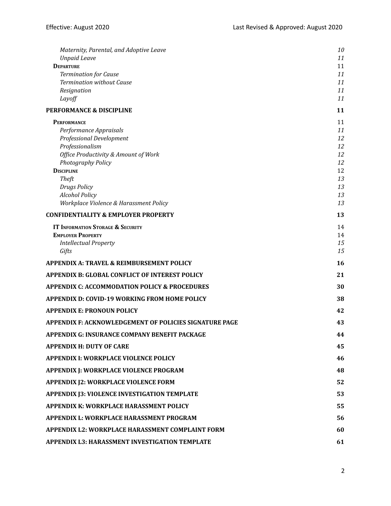| Maternity, Parental, and Adoptive Leave                  | 10       |
|----------------------------------------------------------|----------|
| <b>Unpaid Leave</b>                                      | 11       |
| <b>DEPARTURE</b>                                         | 11       |
| <b>Termination for Cause</b>                             | 11       |
| <b>Termination without Cause</b><br>Resignation          | 11<br>11 |
| Layoff                                                   | 11       |
| <b>PERFORMANCE &amp; DISCIPLINE</b>                      | 11       |
| <b>PERFORMANCE</b>                                       | 11       |
| Performance Appraisals                                   | 11       |
| <b>Professional Development</b>                          | 12       |
| Professionalism                                          | 12       |
| Office Productivity & Amount of Work                     | 12       |
| Photography Policy                                       | 12       |
| <b>DISCIPLINE</b>                                        | 12<br>13 |
| <b>Theft</b><br><b>Drugs Policy</b>                      | 13       |
| <b>Alcohol Policy</b>                                    | 13       |
| Workplace Violence & Harassment Policy                   | 13       |
| <b>CONFIDENTIALITY &amp; EMPLOYER PROPERTY</b>           | 13       |
| <b>IT INFORMATION STORAGE &amp; SECURITY</b>             | 14       |
| <b>EMPLOYER PROPERTY</b>                                 | 14       |
| <b>Intellectual Property</b>                             | 15       |
| Gifts                                                    | 15       |
| APPENDIX A: TRAVEL & REIMBURSEMENT POLICY                | 16       |
| APPENDIX B: GLOBAL CONFLICT OF INTEREST POLICY           | 21       |
| <b>APPENDIX C: ACCOMMODATION POLICY &amp; PROCEDURES</b> | 30       |
| <b>APPENDIX D: COVID-19 WORKING FROM HOME POLICY</b>     | 38       |
| <b>APPENDIX E: PRONOUN POLICY</b>                        | 42       |
| APPENDIX F: ACKNOWLEDGEMENT OF POLICIES SIGNATURE PAGE   | 43       |
| <b>APPENDIX G: INSURANCE COMPANY BENEFIT PACKAGE</b>     | 44       |
| <b>APPENDIX H: DUTY OF CARE</b>                          | 45       |
| <b>APPENDIX I: WORKPLACE VIOLENCE POLICY</b>             | 46       |
| APPENDIX J: WORKPLACE VIOLENCE PROGRAM                   | 48       |
| <b>APPENDIX [2: WORKPLACE VIOLENCE FORM</b>              | 52       |
| <b>APPENDIX J3: VIOLENCE INVESTIGATION TEMPLATE</b>      | 53       |
| <b>APPENDIX K: WORKPLACE HARASSMENT POLICY</b>           | 55       |
| APPENDIX L: WORKPLACE HARASSMENT PROGRAM                 | 56       |
| APPENDIX L2: WORKPLACE HARASSMENT COMPLAINT FORM         | 60       |
| APPENDIX L3: HARASSMENT INVESTIGATION TEMPLATE           | 61       |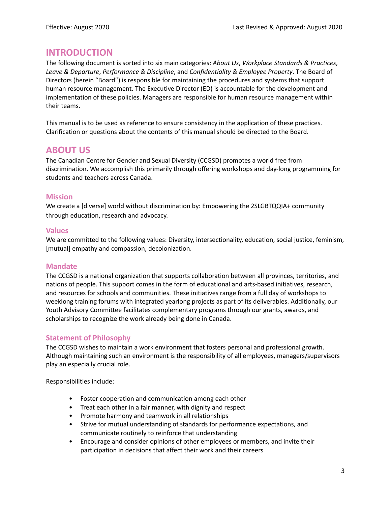# <span id="page-3-0"></span>**INTRODUCTION**

The following document is sorted into six main categories: *About Us*, *Workplace Standards & Practices*, *Leave & Departure*, *Performance & Discipline*, and *Confidentiality & Employee Property*. The Board of Directors (herein "Board") is responsible for maintaining the procedures and systems that support human resource management. The Executive Director (ED) is accountable for the development and implementation of these policies. Managers are responsible for human resource management within their teams.

This manual is to be used as reference to ensure consistency in the application of these practices. Clarification or questions about the contents of this manual should be directed to the Board.

# <span id="page-3-1"></span>**ABOUT US**

The Canadian Centre for Gender and Sexual Diversity (CCGSD) promotes a world free from discrimination. We accomplish this primarily through offering workshops and day-long programming for students and teachers across Canada.

# <span id="page-3-2"></span>**Mission**

We create a [diverse] world without discrimination by: Empowering the 2SLGBTQQIA+ community through education, research and advocacy.

# <span id="page-3-3"></span>**Values**

We are committed to the following values: Diversity, intersectionality, education, social justice, feminism, [mutual] empathy and compassion, decolonization.

## <span id="page-3-4"></span>**Mandate**

The CCGSD is a national organization that supports collaboration between all provinces, territories, and nations of people. This support comes in the form of educational and arts-based initiatives, research, and resources for schools and communities. These initiatives range from a full day of workshops to weeklong training forums with integrated yearlong projects as part of its deliverables. Additionally, our Youth Advisory Committee facilitates complementary programs through our grants, awards, and scholarships to recognize the work already being done in Canada.

# <span id="page-3-5"></span>**Statement of Philosophy**

The CCGSD wishes to maintain a work environment that fosters personal and professional growth. Although maintaining such an environment is the responsibility of all employees, managers/supervisors play an especially crucial role.

Responsibilities include:

- Foster cooperation and communication among each other
- Treat each other in a fair manner, with dignity and respect
- Promote harmony and teamwork in all relationships
- Strive for mutual understanding of standards for performance expectations, and communicate routinely to reinforce that understanding
- Encourage and consider opinions of other employees or members, and invite their participation in decisions that affect their work and their careers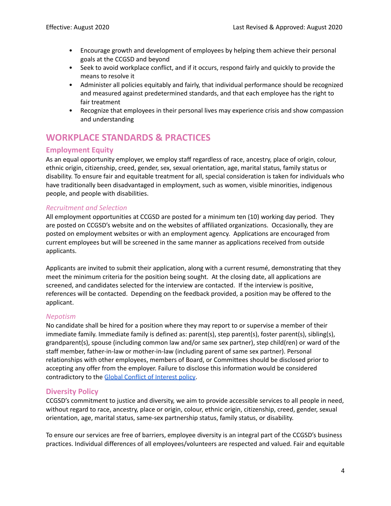- Encourage growth and development of employees by helping them achieve their personal goals at the CCGSD and beyond
- Seek to avoid workplace conflict, and if it occurs, respond fairly and quickly to provide the means to resolve it
- Administer all policies equitably and fairly, that individual performance should be recognized and measured against predetermined standards, and that each employee has the right to fair treatment
- Recognize that employees in their personal lives may experience crisis and show compassion and understanding

# <span id="page-4-0"></span>**WORKPLACE STANDARDS & PRACTICES**

# <span id="page-4-1"></span>**Employment Equity**

As an equal opportunity employer, we employ staff regardless of race, ancestry, place of origin, colour, ethnic origin, citizenship, creed, gender, sex, sexual orientation, age, marital status, family status or disability. To ensure fair and equitable treatment for all, special consideration is taken for individuals who have traditionally been disadvantaged in employment, such as women, visible minorities, indigenous people, and people with disabilities.

## <span id="page-4-2"></span>*Recruitment and Selection*

All employment opportunities at CCGSD are posted for a minimum ten (10) working day period. They are posted on CCGSD's website and on the websites of affiliated organizations. Occasionally, they are posted on employment websites or with an employment agency. Applications are encouraged from current employees but will be screened in the same manner as applications received from outside applicants.

Applicants are invited to submit their application, along with a current resumé, demonstrating that they meet the minimum criteria for the position being sought. At the closing date, all applications are screened, and candidates selected for the interview are contacted. If the interview is positive, references will be contacted. Depending on the feedback provided, a position may be offered to the applicant.

## <span id="page-4-3"></span>*Nepotism*

No candidate shall be hired for a position where they may report to or supervise a member of their immediate family. Immediate family is defined as: parent(s), step parent(s), foster parent(s), sibling(s), grandparent(s), spouse (including common law and/or same sex partner), step child(ren) or ward of the staff member, father-in-law or mother-in-law (including parent of same sex partner). Personal relationships with other employees, members of Board, or Committees should be disclosed prior to accepting any offer from the employer. Failure to disclose this information would be considered contradictory to the Global Conflict of Interest policy.

# <span id="page-4-4"></span>**Diversity Policy**

CCGSD's commitment to justice and diversity, we aim to provide accessible services to all people in need, without regard to race, ancestry, place or origin, colour, ethnic origin, citizenship, creed, gender, sexual orientation, age, marital status, same-sex partnership status, family status, or disability.

To ensure our services are free of barriers, employee diversity is an integral part of the CCGSD's business practices. Individual differences of all employees/volunteers are respected and valued. Fair and equitable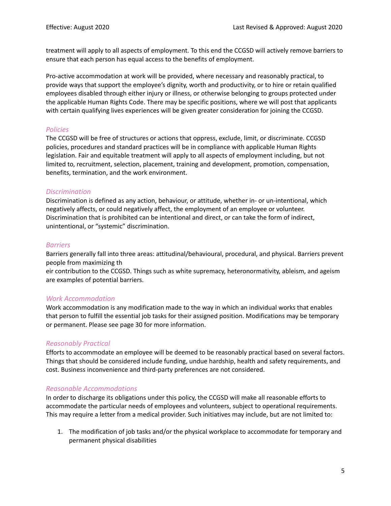treatment will apply to all aspects of employment. To this end the CCGSD will actively remove barriers to ensure that each person has equal access to the benefits of employment.

Pro-active accommodation at work will be provided, where necessary and reasonably practical, to provide ways that support the employee's dignity, worth and productivity, or to hire or retain qualified employees disabled through either injury or illness, or otherwise belonging to groups protected under the applicable Human Rights Code. There may be specific positions, where we will post that applicants with certain qualifying lives experiences will be given greater consideration for joining the CCGSD.

## <span id="page-5-0"></span>*Policies*

The CCGSD will be free of structures or actions that oppress, exclude, limit, or discriminate. CCGSD policies, procedures and standard practices will be in compliance with applicable Human Rights legislation. Fair and equitable treatment will apply to all aspects of employment including, but not limited to, recruitment, selection, placement, training and development, promotion, compensation, benefits, termination, and the work environment.

## <span id="page-5-1"></span>*Discrimination*

Discrimination is defined as any action, behaviour, or attitude, whether in- or un-intentional, which negatively affects, or could negatively affect, the employment of an employee or volunteer. Discrimination that is prohibited can be intentional and direct, or can take the form of indirect, unintentional, or "systemic" discrimination.

#### <span id="page-5-2"></span>*Barriers*

Barriers generally fall into three areas: attitudinal/behavioural, procedural, and physical. Barriers prevent people from maximizing th

eir contribution to the CCGSD. Things such as white supremacy, heteronormativity, ableism, and ageism are examples of potential barriers.

## <span id="page-5-3"></span>*Work Accommodation*

Work accommodation is any modification made to the way in which an individual works that enables that person to fulfill the essential job tasks for their assigned position. Modifications may be temporary or permanent. Please see page 30 for more information.

## <span id="page-5-4"></span>*Reasonably Practical*

Efforts to accommodate an employee will be deemed to be reasonably practical based on several factors. Things that should be considered include funding, undue hardship, health and safety requirements, and cost. Business inconvenience and third-party preferences are not considered.

## <span id="page-5-5"></span>*Reasonable Accommodations*

In order to discharge its obligations under this policy, the CCGSD will make all reasonable efforts to accommodate the particular needs of employees and volunteers, subject to operational requirements. This may require a letter from a medical provider. Such initiatives may include, but are not limited to:

1. The modification of job tasks and/or the physical workplace to accommodate for temporary and permanent physical disabilities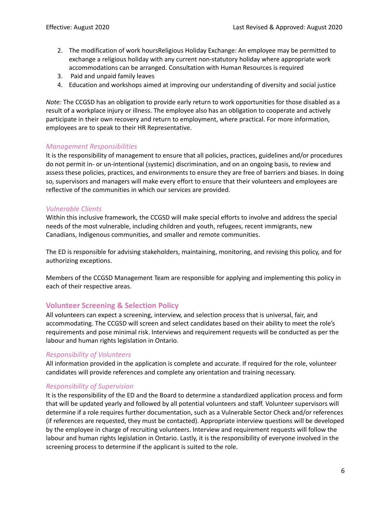- 2. The modification of work hoursReligious Holiday Exchange: An employee may be permitted to exchange a religious holiday with any current non-statutory holiday where appropriate work accommodations can be arranged. Consultation with Human Resources is required
- 3. Paid and unpaid family leaves
- 4. Education and workshops aimed at improving our understanding of diversity and social justice

*Note:* The CCGSD has an obligation to provide early return to work opportunities for those disabled as a result of a workplace injury or illness. The employee also has an obligation to cooperate and actively participate in their own recovery and return to employment, where practical. For more information, employees are to speak to their HR Representative.

## <span id="page-6-0"></span>*Management Responsibilities*

It is the responsibility of management to ensure that all policies, practices, guidelines and/or procedures do not permit in- or un-intentional (systemic) discrimination, and on an ongoing basis, to review and assess these policies, practices, and environments to ensure they are free of barriers and biases. In doing so, supervisors and managers will make every effort to ensure that their volunteers and employees are reflective of the communities in which our services are provided.

## <span id="page-6-1"></span>*Vulnerable Clients*

Within this inclusive framework, the CCGSD will make special efforts to involve and address the special needs of the most vulnerable, including children and youth, refugees, recent immigrants, new Canadians, Indigenous communities, and smaller and remote communities.

The ED is responsible for advising stakeholders, maintaining, monitoring, and revising this policy, and for authorizing exceptions.

Members of the CCGSD Management Team are responsible for applying and implementing this policy in each of their respective areas.

# <span id="page-6-2"></span>**Volunteer Screening & Selection Policy**

All volunteers can expect a screening, interview, and selection process that is universal, fair, and accommodating. The CCGSD will screen and select candidates based on their ability to meet the role's requirements and pose minimal risk. Interviews and requirement requests will be conducted as per the labour and human rights legislation in Ontario.

## <span id="page-6-3"></span>*Responsibility of Volunteers*

All information provided in the application is complete and accurate. If required for the role, volunteer candidates will provide references and complete any orientation and training necessary.

## <span id="page-6-4"></span>*Responsibility of Supervision*

It is the responsibility of the ED and the Board to determine a standardized application process and form that will be updated yearly and followed by all potential volunteers and staff. Volunteer supervisors will determine if a role requires further documentation, such as a Vulnerable Sector Check and/or references (if references are requested, they must be contacted). Appropriate interview questions will be developed by the employee in charge of recruiting volunteers. Interview and requirement requests will follow the labour and human rights legislation in Ontario. Lastly, it is the responsibility of everyone involved in the screening process to determine if the applicant is suited to the role.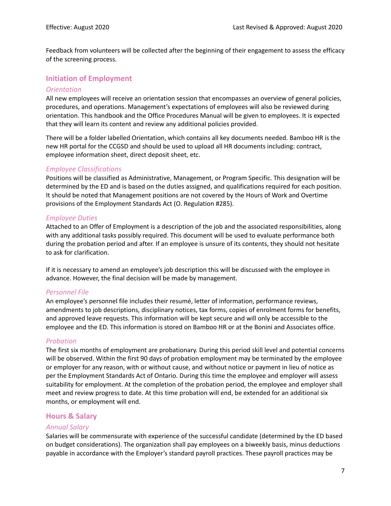Feedback from volunteers will be collected after the beginning of their engagement to assess the efficacy of the screening process.

# <span id="page-7-0"></span>**Initiation of Employment**

#### <span id="page-7-1"></span>*Orientation*

All new employees will receive an orientation session that encompasses an overview of general policies, procedures, and operations. Management's expectations of employees will also be reviewed during orientation. This handbook and the Office Procedures Manual will be given to employees. It is expected that they will learn its content and review any additional policies provided.

There will be a folder labelled Orientation, which contains all key documents needed. Bamboo HR is the new HR portal for the CCGSD and should be used to upload all HR documents including: contract, employee information sheet, direct deposit sheet, etc.

#### <span id="page-7-2"></span>*Employee Classifications*

Positions will be classified as Administrative, Management, or Program Specific. This designation will be determined by the ED and is based on the duties assigned, and qualifications required for each position. It should be noted that Management positions are not covered by the Hours of Work and Overtime provisions of the Employment Standards Act (O. Regulation #285).

#### <span id="page-7-3"></span>*Employee Duties*

Attached to an Offer of Employment is a description of the job and the associated responsibilities, along with any additional tasks possibly required. This document will be used to evaluate performance both during the probation period and after. If an employee is unsure of its contents, they should not hesitate to ask for clarification.

If it is necessary to amend an employee's job description this will be discussed with the employee in advance. However, the final decision will be made by management.

#### <span id="page-7-4"></span>*Personnel File*

An employee's personnel file includes their resumé, letter of information, performance reviews, amendments to job descriptions, disciplinary notices, tax forms, copies of enrolment forms for benefits, and approved leave requests. This information will be kept secure and will only be accessible to the employee and the ED. This information is stored on Bamboo HR or at the Bonini and Associates office.

#### <span id="page-7-5"></span>*Probation*

The first six months of employment are probationary. During this period skill level and potential concerns will be observed. Within the first 90 days of probation employment may be terminated by the employee or employer for any reason, with or without cause, and without notice or payment in lieu of notice as per the Employment Standards Act of Ontario. During this time the employee and employer will assess suitability for employment. At the completion of the probation period, the employee and employer shall meet and review progress to date. At this time probation will end, be extended for an additional six months, or employment will end.

## <span id="page-7-6"></span>**Hours & Salary**

#### <span id="page-7-7"></span>*Annual Salary*

Salaries will be commensurate with experience of the successful candidate (determined by the ED based on budget considerations). The organization shall pay employees on a biweekly basis, minus deductions payable in accordance with the Employer's standard payroll practices. These payroll practices may be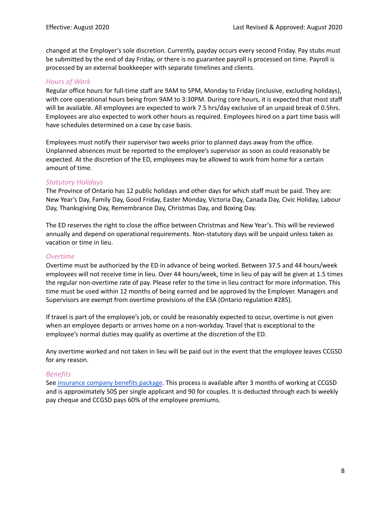changed at the Employer's sole discretion. Currently, payday occurs every second Friday. Pay stubs must be submitted by the end of day Friday, or there is no guarantee payroll is processed on time. Payroll is processed by an external bookkeeper with separate timelines and clients.

## <span id="page-8-0"></span>*Hours of Work*

Regular office hours for full-time staff are 9AM to 5PM, Monday to Friday (inclusive, excluding holidays), with core operational hours being from 9AM to 3:30PM. During core hours, it is expected that most staff will be available. All employees are expected to work 7.5 hrs/day exclusive of an unpaid break of 0.5hrs. Employees are also expected to work other hours as required. Employees hired on a part time basis will have schedules determined on a case by case basis.

Employees must notify their supervisor two weeks prior to planned days away from the office. Unplanned absences must be reported to the employee's supervisor as soon as could reasonably be expected. At the discretion of the ED, employees may be allowed to work from home for a certain amount of time.

#### <span id="page-8-1"></span>*Statutory Holidays*

The Province of Ontario has 12 public holidays and other days for which staff must be paid. They are: New Year's Day, Family Day, Good Friday, Easter Monday, Victoria Day, Canada Day, Civic Holiday, Labour Day, Thanksgiving Day, Remembrance Day, Christmas Day, and Boxing Day.

The ED reserves the right to close the office between Christmas and New Year's. This will be reviewed annually and depend on operational requirements. Non-statutory days will be unpaid unless taken as vacation or time in lieu.

#### <span id="page-8-2"></span>*Overtime*

Overtime must be authorized by the ED in advance of being worked. Between 37.5 and 44 hours/week employees will not receive time in lieu. Over 44 hours/week, time in lieu of pay will be given at 1.5 times the regular non-overtime rate of pay. Please refer to the time in lieu contract for more information. This time must be used within 12 months of being earned and be approved by the Employer. Managers and Supervisors are exempt from overtime provisions of the ESA (Ontario regulation #285).

If travel is part of the employee's job, or could be reasonably expected to occur, overtime is not given when an employee departs or arrives home on a non-workday. Travel that is exceptional to the employee's normal duties may qualify as overtime at the discretion of the ED.

Any overtime worked and not taken in lieu will be paid out in the event that the employee leaves CCGSD for any reason.

## <span id="page-8-3"></span>*Benefits*

See insurance company benefits package. This process is available after 3 months of working at CCGSD and is approximately 50\$ per single applicant and 90 for couples. It is deducted through each bi weekly pay cheque and CCGSD pays 60% of the employee premiums.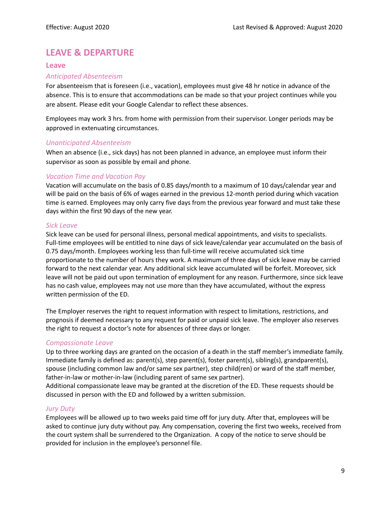# <span id="page-9-0"></span>**LEAVE & DEPARTURE**

#### <span id="page-9-1"></span>**Leave**

#### <span id="page-9-2"></span>*Anticipated Absenteeism*

For absenteeism that is foreseen (i.e., vacation), employees must give 48 hr notice in advance of the absence. This is to ensure that accommodations can be made so that your project continues while you are absent. Please edit your Google Calendar to reflect these absences.

Employees may work 3 hrs. from home with permission from their supervisor. Longer periods may be approved in extenuating circumstances.

#### <span id="page-9-3"></span>*Unanticipated Absenteeism*

When an absence (i.e., sick days) has not been planned in advance, an employee must inform their supervisor as soon as possible by email and phone.

## <span id="page-9-4"></span>*Vacation Time and Vacation Pay*

Vacation will accumulate on the basis of 0.85 days/month to a maximum of 10 days/calendar year and will be paid on the basis of 6% of wages earned in the previous 12-month period during which vacation time is earned. Employees may only carry five days from the previous year forward and must take these days within the first 90 days of the new year.

#### <span id="page-9-5"></span>*Sick Leave*

Sick leave can be used for personal illness, personal medical appointments, and visits to specialists. Full-time employees will be entitled to nine days of sick leave/calendar year accumulated on the basis of 0.75 days/month. Employees working less than full-time will receive accumulated sick time proportionate to the number of hours they work. A maximum of three days of sick leave may be carried forward to the next calendar year. Any additional sick leave accumulated will be forfeit. Moreover, sick leave will not be paid out upon termination of employment for any reason. Furthermore, since sick leave has no cash value, employees may not use more than they have accumulated, without the express written permission of the ED.

The Employer reserves the right to request information with respect to limitations, restrictions, and prognosis if deemed necessary to any request for paid or unpaid sick leave. The employer also reserves the right to request a doctor's note for absences of three days or longer.

## <span id="page-9-6"></span>*Compassionate Leave*

Up to three working days are granted on the occasion of a death in the staff member's immediate family. Immediate family is defined as: parent(s), step parent(s), foster parent(s), sibling(s), grandparent(s), spouse (including common law and/or same sex partner), step child(ren) or ward of the staff member, father-in-law or mother-in-law (including parent of same sex partner).

Additional compassionate leave may be granted at the discretion of the ED. These requests should be discussed in person with the ED and followed by a written submission.

## <span id="page-9-7"></span>*Jury Duty*

Employees will be allowed up to two weeks paid time off for jury duty. After that, employees will be asked to continue jury duty without pay. Any compensation, covering the first two weeks, received from the court system shall be surrendered to the Organization. A copy of the notice to serve should be provided for inclusion in the employee's personnel file.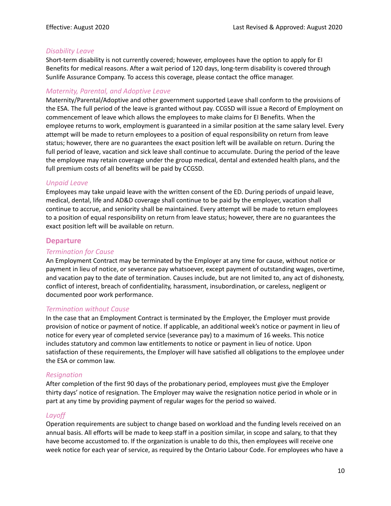## <span id="page-10-0"></span>*Disability Leave*

Short-term disability is not currently covered; however, employees have the option to apply for EI Benefits for medical reasons. After a wait period of 120 days, long-term disability is covered through Sunlife Assurance Company. To access this coverage, please contact the office manager.

# <span id="page-10-1"></span>*Maternity, Parental, and Adoptive Leave*

Maternity/Parental/Adoptive and other government supported Leave shall conform to the provisions of the ESA. The full period of the leave is granted without pay. CCGSD will issue a Record of Employment on commencement of leave which allows the employees to make claims for EI Benefits. When the employee returns to work, employment is guaranteed in a similar position at the same salary level. Every attempt will be made to return employees to a position of equal responsibility on return from leave status; however, there are no guarantees the exact position left will be available on return. During the full period of leave, vacation and sick leave shall continue to accumulate. During the period of the leave the employee may retain coverage under the group medical, dental and extended health plans, and the full premium costs of all benefits will be paid by CCGSD.

#### <span id="page-10-2"></span>*Unpaid Leave*

Employees may take unpaid leave with the written consent of the ED. During periods of unpaid leave, medical, dental, life and AD&D coverage shall continue to be paid by the employer, vacation shall continue to accrue, and seniority shall be maintained. Every attempt will be made to return employees to a position of equal responsibility on return from leave status; however, there are no guarantees the exact position left will be available on return.

## <span id="page-10-3"></span>**Departure**

#### <span id="page-10-4"></span>*Termination for Cause*

An Employment Contract may be terminated by the Employer at any time for cause, without notice or payment in lieu of notice, or severance pay whatsoever, except payment of outstanding wages, overtime, and vacation pay to the date of termination. Causes include, but are not limited to, any act of dishonesty, conflict of interest, breach of confidentiality, harassment, insubordination, or careless, negligent or documented poor work performance.

#### <span id="page-10-5"></span>*Termination without Cause*

In the case that an Employment Contract is terminated by the Employer, the Employer must provide provision of notice or payment of notice. If applicable, an additional week's notice or payment in lieu of notice for every year of completed service (severance pay) to a maximum of 16 weeks. This notice includes statutory and common law entitlements to notice or payment in lieu of notice. Upon satisfaction of these requirements, the Employer will have satisfied all obligations to the employee under the ESA or common law.

#### <span id="page-10-6"></span>*Resignation*

After completion of the first 90 days of the probationary period, employees must give the Employer thirty days' notice of resignation. The Employer may waive the resignation notice period in whole or in part at any time by providing payment of regular wages for the period so waived.

#### <span id="page-10-7"></span>*Layoff*

Operation requirements are subject to change based on workload and the funding levels received on an annual basis. All efforts will be made to keep staff in a position similar, in scope and salary, to that they have become accustomed to. If the organization is unable to do this, then employees will receive one week notice for each year of service, as required by the Ontario Labour Code. For employees who have a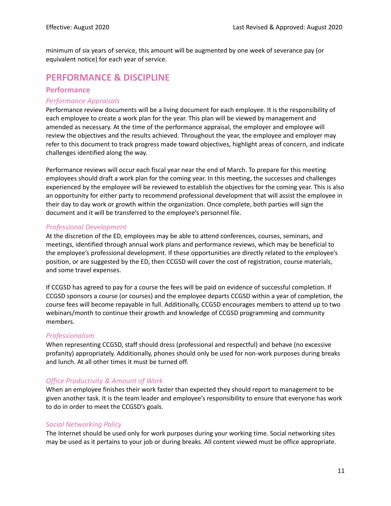minimum of six years of service, this amount will be augmented by one week of severance pay (or equivalent notice) for each year of service.

# <span id="page-11-0"></span>**PERFORMANCE & DISCIPLINE**

# <span id="page-11-1"></span>**Performance**

#### <span id="page-11-2"></span>*Performance Appraisals*

Performance review documents will be a living document for each employee. It is the responsibility of each employee to create a work plan for the year. This plan will be viewed by management and amended as necessary. At the time of the performance appraisal, the employer and employee will review the objectives and the results achieved. Throughout the year, the employee and employer may refer to this document to track progress made toward objectives, highlight areas of concern, and indicate challenges identified along the way.

Performance reviews will occur each fiscal year near the end of March. To prepare for this meeting employees should draft a work plan for the coming year. In this meeting, the successes and challenges experienced by the employee will be reviewed to establish the objectives for the coming year. This is also an opportunity for either party to recommend professional development that will assist the employee in their day to day work or growth within the organization. Once complete, both parties will sign the document and it will be transferred to the employee's personnel file.

## <span id="page-11-3"></span>*Professional Development*

At the discretion of the ED, employees may be able to attend conferences, courses, seminars, and meetings, identified through annual work plans and performance reviews, which may be beneficial to the employee's professional development. If these opportunities are directly related to the employee's position, or are suggested by the ED, then CCGSD will cover the cost of registration, course materials, and some travel expenses.

If CCGSD has agreed to pay for a course the fees will be paid on evidence of successful completion. If CCGSD sponsors a course (or courses) and the employee departs CCGSD within a year of completion, the course fees will become repayable in full. Additionally, CCGSD encourages members to attend up to two webinars/month to continue their growth and knowledge of CCGSD programming and community members.

## <span id="page-11-4"></span>*Professionalism*

When representing CCGSD, staff should dress (professional and respectful) and behave (no excessive profanity) appropriately. Additionally, phones should only be used for non-work purposes during breaks and lunch. At all other times it must be turned off.

## <span id="page-11-5"></span>*Office Productivity & Amount of Work*

When an employee finishes their work faster than expected they should report to management to be given another task. It is the team leader and employee's responsibility to ensure that everyone has work to do in order to meet the CCGSD's goals.

#### *Social Networking Policy*

The Internet should be used only for work purposes during your working time. Social networking sites may be used as it pertains to your job or during breaks. All content viewed must be office appropriate.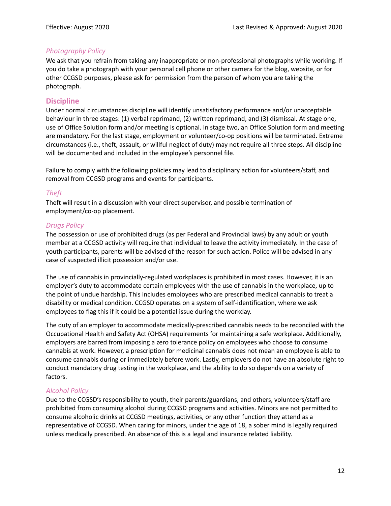# <span id="page-12-0"></span>*Photography Policy*

We ask that you refrain from taking any inappropriate or non-professional photographs while working. If you do take a photograph with your personal cell phone or other camera for the blog, website, or for other CCGSD purposes, please ask for permission from the person of whom you are taking the photograph.

# <span id="page-12-1"></span>**Discipline**

Under normal circumstances discipline will identify unsatisfactory performance and/or unacceptable behaviour in three stages: (1) verbal reprimand, (2) written reprimand, and (3) dismissal. At stage one, use of Office Solution form and/or meeting is optional. In stage two, an Office Solution form and meeting are mandatory. For the last stage, employment or volunteer/co-op positions will be terminated. Extreme circumstances (i.e., theft, assault, or willful neglect of duty) may not require all three steps. All discipline will be documented and included in the employee's personnel file.

Failure to comply with the following policies may lead to disciplinary action for volunteers/staff, and removal from CCGSD programs and events for participants.

## <span id="page-12-2"></span>*Theft*

Theft will result in a discussion with your direct supervisor, and possible termination of employment/co-op placement.

## <span id="page-12-3"></span>*Drugs Policy*

The possession or use of prohibited drugs (as per Federal and Provincial laws) by any adult or youth member at a CCGSD activity will require that individual to leave the activity immediately. In the case of youth participants, parents will be advised of the reason for such action. Police will be advised in any case of suspected illicit possession and/or use.

The use of cannabis in provincially-regulated workplaces is prohibited in most cases. However, it is an employer's duty to accommodate certain employees with the use of cannabis in the workplace, up to the point of undue hardship. This includes employees who are prescribed medical cannabis to treat a disability or medical condition. CCGSD operates on a system of self-identification, where we ask employees to flag this if it could be a potential issue during the workday.

The duty of an employer to accommodate medically-prescribed cannabis needs to be reconciled with the Occupational Health and Safety Act (OHSA) requirements for maintaining a safe workplace. Additionally, employers are barred from imposing a zero tolerance policy on employees who choose to consume cannabis at work. However, a prescription for medicinal cannabis does not mean an employee is able to consume cannabis during or immediately before work. Lastly, employers do not have an absolute right to conduct mandatory drug testing in the workplace, and the ability to do so depends on a variety of factors.

#### <span id="page-12-4"></span>*Alcohol Policy*

Due to the CCGSD's responsibility to youth, their parents/guardians, and others, volunteers/staff are prohibited from consuming alcohol during CCGSD programs and activities. Minors are not permitted to consume alcoholic drinks at CCGSD meetings, activities, or any other function they attend as a representative of CCGSD. When caring for minors, under the age of 18, a sober mind is legally required unless medically prescribed. An absence of this is a legal and insurance related liability.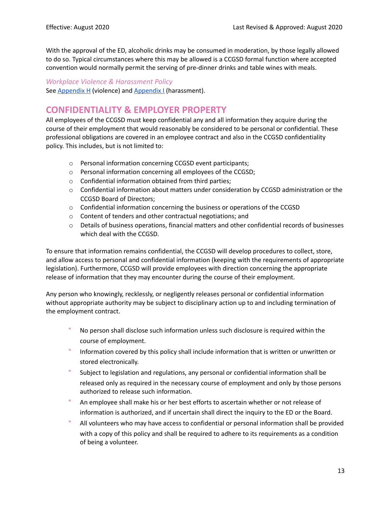With the approval of the ED, alcoholic drinks may be consumed in moderation, by those legally allowed to do so. Typical circumstances where this may be allowed is a CCGSD formal function where accepted convention would normally permit the serving of pre-dinner drinks and table wines with meals.

#### <span id="page-13-0"></span>*Workplace Violence & Harassment Policy*

See Appendix H (violence) and Appendix I (harassment).

# <span id="page-13-1"></span>**CONFIDENTIALITY & EMPLOYER PROPERTY**

All employees of the CCGSD must keep confidential any and all information they acquire during the course of their employment that would reasonably be considered to be personal or confidential. These professional obligations are covered in an employee contract and also in the CCGSD confidentiality policy. This includes, but is not limited to:

- o Personal information concerning CCGSD event participants;
- o Personal information concerning all employees of the CCGSD;
- o Confidential information obtained from third parties;
- o Confidential information about matters under consideration by CCGSD administration or the CCGSD Board of Directors;
- o Confidential information concerning the business or operations of the CCGSD
- o Content of tenders and other contractual negotiations; and
- $\circ$  Details of business operations, financial matters and other confidential records of businesses which deal with the CCGSD.

To ensure that information remains confidential, the CCGSD will develop procedures to collect, store, and allow access to personal and confidential information (keeping with the requirements of appropriate legislation). Furthermore, CCGSD will provide employees with direction concerning the appropriate release of information that they may encounter during the course of their employment.

Any person who knowingly, recklessly, or negligently releases personal or confidential information without appropriate authority may be subject to disciplinary action up to and including termination of the employment contract.

- No person shall disclose such information unless such disclosure is required within the course of employment.
- Information covered by this policy shall include information that is written or unwritten or stored electronically.
- Subject to legislation and regulations, any personal or confidential information shall be released only as required in the necessary course of employment and only by those persons authorized to release such information.
- An employee shall make his or her best efforts to ascertain whether or not release of information is authorized, and if uncertain shall direct the inquiry to the ED or the Board.
- All volunteers who may have access to confidential or personal information shall be provided with a copy of this policy and shall be required to adhere to its requirements as a condition of being a volunteer.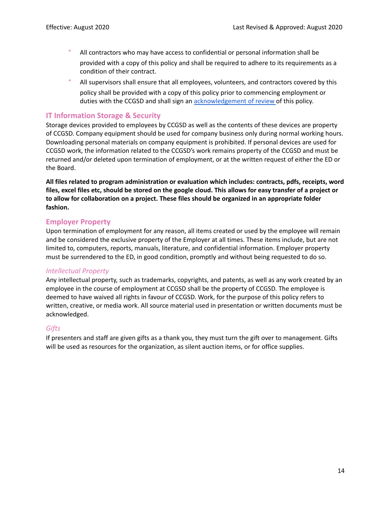- All contractors who may have access to confidential or personal information shall be provided with a copy of this policy and shall be required to adhere to its requirements as a condition of their contract.
- All supervisors shall ensure that all employees, volunteers, and contractors covered by this policy shall be provided with a copy of this policy prior to commencing employment or duties with the CCGSD and shall sign an **acknowledgement of review** of this policy.

# <span id="page-14-0"></span>**IT Information Storage & Security**

Storage devices provided to employees by CCGSD as well as the contents of these devices are property of CCGSD. Company equipment should be used for company business only during normal working hours. Downloading personal materials on company equipment is prohibited. If personal devices are used for CCGSD work, the information related to the CCGSD's work remains property of the CCGSD and must be returned and/or deleted upon termination of employment, or at the written request of either the ED or the Board.

**All files related to program administration or evaluation which includes: contracts, pdfs, receipts, word** files, excel files etc, should be stored on the google cloud. This allows for easy transfer of a project or **to allow for collaboration on a project. These files should be organized in an appropriate folder fashion.**

## <span id="page-14-1"></span>**Employer Property**

Upon termination of employment for any reason, all items created or used by the employee will remain and be considered the exclusive property of the Employer at all times. These items include, but are not limited to, computers, reports, manuals, literature, and confidential information. Employer property must be surrendered to the ED, in good condition, promptly and without being requested to do so.

#### <span id="page-14-2"></span>*Intellectual Property*

Any intellectual property, such as trademarks, copyrights, and patents, as well as any work created by an employee in the course of employment at CCGSD shall be the property of CCGSD. The employee is deemed to have waived all rights in favour of CCGSD. Work, for the purpose of this policy refers to written, creative, or media work. All source material used in presentation or written documents must be acknowledged.

## <span id="page-14-3"></span>*Gifts*

If presenters and staff are given gifts as a thank you, they must turn the gift over to management. Gifts will be used as resources for the organization, as silent auction items, or for office supplies.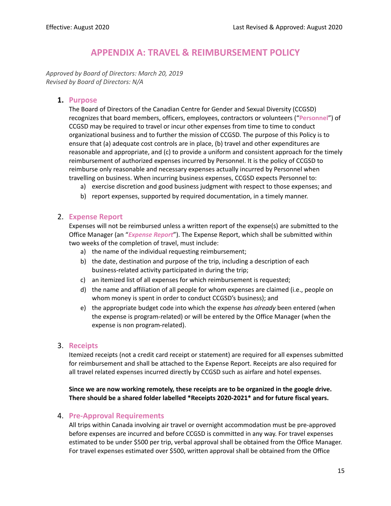# **APPENDIX A: TRAVEL & REIMBURSEMENT POLICY**

<span id="page-15-0"></span>*Approved by Board of Directors: March 20, 2019 Revised by Board of Directors: N/A*

## **1. Purpose**

The Board of Directors of the Canadian Centre for Gender and Sexual Diversity (CCGSD) recognizes that board members, officers, employees, contractors or volunteers ("**Personnel**") of CCGSD may be required to travel or incur other expenses from time to time to conduct organizational business and to further the mission of CCGSD. The purpose of this Policy is to ensure that (a) adequate cost controls are in place, (b) travel and other expenditures are reasonable and appropriate, and (c) to provide a uniform and consistent approach for the timely reimbursement of authorized expenses incurred by Personnel. It is the policy of CCGSD to reimburse only reasonable and necessary expenses actually incurred by Personnel when travelling on business. When incurring business expenses, CCGSD expects Personnel to:

- a) exercise discretion and good business judgment with respect to those expenses; and
- b) report expenses, supported by required documentation, in a timely manner.

## 2. **Expense Report**

Expenses will not be reimbursed unless a written report of the expense(s) are submitted to the Office Manager (an "*Expense Report*"). The Expense Report, which shall be submitted within two weeks of the completion of travel, must include:

- a) the name of the individual requesting reimbursement;
- b) the date, destination and purpose of the trip, including a description of each business-related activity participated in during the trip;
- c) an itemized list of all expenses for which reimbursement is requested;
- d) the name and affiliation of all people for whom expenses are claimed (i.e., people on whom money is spent in order to conduct CCGSD's business); and
- e) the appropriate budget code into which the expense *has already* been entered (when the expense is program-related) or will be entered by the Office Manager (when the expense is non program-related).
- 3. **Receipts**

Itemized receipts (not a credit card receipt or statement) are required for all expenses submitted for reimbursement and shall be attached to the Expense Report. Receipts are also required for all travel related expenses incurred directly by CCGSD such as airfare and hotel expenses.

**Since we are now working remotely, these receipts are to be organized in the google drive. There should be a shared folder labelled \*Receipts 2020-2021\* and for future fiscal years.**

## 4. **Pre-Approval Requirements**

All trips within Canada involving air travel or overnight accommodation must be pre-approved before expenses are incurred and before CCGSD is committed in any way. For travel expenses estimated to be under \$500 per trip, verbal approval shall be obtained from the Office Manager. For travel expenses estimated over \$500, written approval shall be obtained from the Office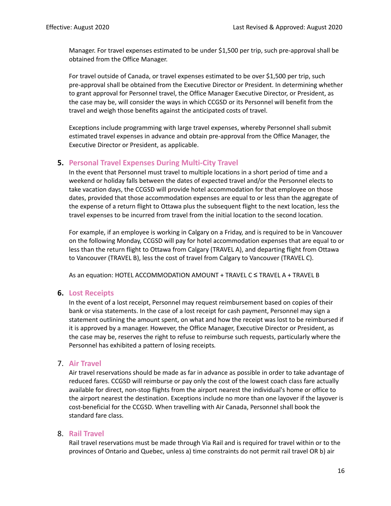Manager. For travel expenses estimated to be under \$1,500 per trip, such pre-approval shall be obtained from the Office Manager.

For travel outside of Canada, or travel expenses estimated to be over \$1,500 per trip, such pre-approval shall be obtained from the Executive Director or President. In determining whether to grant approval for Personnel travel, the Office Manager Executive Director, or President, as the case may be, will consider the ways in which CCGSD or its Personnel will benefit from the travel and weigh those benefits against the anticipated costs of travel.

Exceptions include programming with large travel expenses, whereby Personnel shall submit estimated travel expenses in advance and obtain pre-approval from the Office Manager, the Executive Director or President, as applicable.

## **5. Personal Travel Expenses During Multi-City Travel**

In the event that Personnel must travel to multiple locations in a short period of time and a weekend or holiday falls between the dates of expected travel and/or the Personnel elects to take vacation days, the CCGSD will provide hotel accommodation for that employee on those dates, provided that those accommodation expenses are equal to or less than the aggregate of the expense of a return flight to Ottawa plus the subsequent flight to the next location, less the travel expenses to be incurred from travel from the initial location to the second location.

For example, if an employee is working in Calgary on a Friday, and is required to be in Vancouver on the following Monday, CCGSD will pay for hotel accommodation expenses that are equal to or less than the return flight to Ottawa from Calgary (TRAVEL A), and departing flight from Ottawa to Vancouver (TRAVEL B), less the cost of travel from Calgary to Vancouver (TRAVEL C).

As an equation: HOTEL ACCOMMODATION AMOUNT + TRAVEL C ≤ TRAVEL A + TRAVEL B

#### **6. Lost Receipts**

In the event of a lost receipt, Personnel may request reimbursement based on copies of their bank or visa statements. In the case of a lost receipt for cash payment, Personnel may sign a statement outlining the amount spent, on what and how the receipt was lost to be reimbursed if it is approved by a manager. However, the Office Manager, Executive Director or President, as the case may be, reserves the right to refuse to reimburse such requests, particularly where the Personnel has exhibited a pattern of losing receipts*.*

#### 7. **Air Travel**

Air travel reservations should be made as far in advance as possible in order to take advantage of reduced fares. CCGSD will reimburse or pay only the cost of the lowest coach class fare actually available for direct, non-stop flights from the airport nearest the individual's home or office to the airport nearest the destination. Exceptions include no more than one layover if the layover is cost-beneficial for the CCGSD. When travelling with Air Canada, Personnel shall book the standard fare class.

#### 8. **Rail Travel**

Rail travel reservations must be made through Via Rail and is required for travel within or to the provinces of Ontario and Quebec, unless a) time constraints do not permit rail travel OR b) air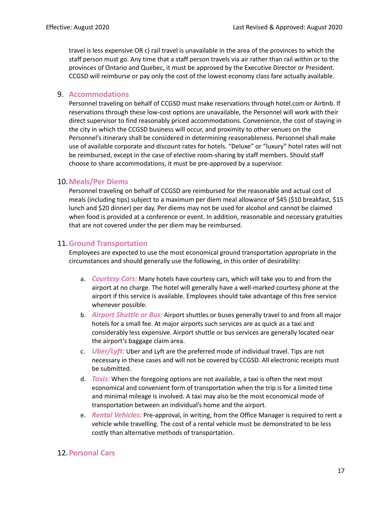travel is less expensive OR c) rail travel is unavailable in the area of the provinces to which the staff person must go. Any time that a staff person travels via air rather than rail within or to the provinces of Ontario and Quebec, it must be approved by the Executive Director or President. CCGSD will reimburse or pay only the cost of the lowest economy class fare actually available.

## 9. **Accommodations**

Personnel traveling on behalf of CCGSD must make reservations through hotel.com or Airbnb. If reservations through these low-cost options are unavailable, the Personnel will work with their direct supervisor to find reasonably priced accommodations. Convenience, the cost of staying in the city in which the CCGSD business will occur, and proximity to other venues on the Personnel's itinerary shall be considered in determining reasonableness. Personnel shall make use of available corporate and discount rates for hotels. "Deluxe" or "luxury" hotel rates will not be reimbursed, except in the case of elective room-sharing by staff members. Should staff choose to share accommodations, it must be pre-approved by a supervisor.

## 10.**Meals/Per Diems**

Personnel traveling on behalf of CCGSD are reimbursed for the reasonable and actual cost of meals (including tips) subject to a maximum per diem meal allowance of \$45 (\$10 breakfast, \$15 lunch and \$20 dinner) per day. Per diems may not be used for alcohol and cannot be claimed when food is provided at a conference or event. In addition, reasonable and necessary gratuities that are not covered under the per diem may be reimbursed.

## 11.**Ground Transportation**

Employees are expected to use the most economical ground transportation appropriate in the circumstances and should generally use the following, in this order of desirability:

- a. *Courtesy Cars:* Many hotels have courtesy cars, which will take you to and from the airport at no charge. The hotel will generally have a well-marked courtesy phone at the airport if this service is available. Employees should take advantage of this free service whenever possible.
- b. *Airport Shuttle or Bus:* Airport shuttles or buses generally travel to and from all major hotels for a small fee. At major airports such services are as quick as a taxi and considerably less expensive. Airport shuttle or bus services are generally located near the airport's baggage claim area.
- c. *Uber/Lyft:* Uber and Lyft are the preferred mode of individual travel. Tips are not necessary in these cases and will not be covered by CCGSD. All electronic receipts must be submitted.
- d. *Taxis:* When the foregoing options are not available, a taxi is often the next most economical and convenient form of transportation when the trip is for a limited time and minimal mileage is involved. A taxi may also be the most economical mode of transportation between an individual's home and the airport.
- e. *Rental Vehicles:* Pre-approval, in writing, from the Office Manager is required to rent a vehicle while travelling. The cost of a rental vehicle must be demonstrated to be less costly than alternative methods of transportation.

# 12.**Personal Cars**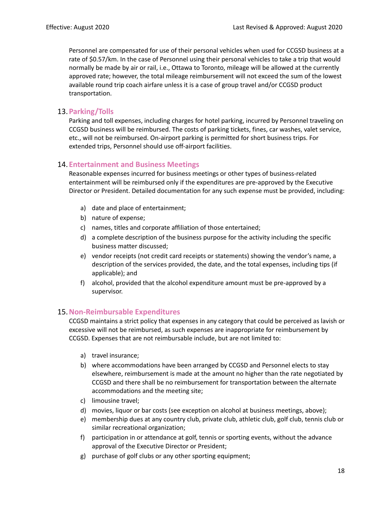Personnel are compensated for use of their personal vehicles when used for CCGSD business at a rate of \$0.57/km. In the case of Personnel using their personal vehicles to take a trip that would normally be made by air or rail, i.e., Ottawa to Toronto, mileage will be allowed at the currently approved rate; however, the total mileage reimbursement will not exceed the sum of the lowest available round trip coach airfare unless it is a case of group travel and/or CCGSD product transportation.

# 13.**Parking/Tolls**

Parking and toll expenses, including charges for hotel parking, incurred by Personnel traveling on CCGSD business will be reimbursed. The costs of parking tickets, fines, car washes, valet service, etc., will not be reimbursed. On-airport parking is permitted for short business trips. For extended trips, Personnel should use off-airport facilities.

# 14.**Entertainment and Business Meetings**

Reasonable expenses incurred for business meetings or other types of business-related entertainment will be reimbursed only if the expenditures are pre-approved by the Executive Director or President. Detailed documentation for any such expense must be provided, including:

- a) date and place of entertainment;
- b) nature of expense;
- c) names, titles and corporate affiliation of those entertained;
- d) a complete description of the business purpose for the activity including the specific business matter discussed;
- e) vendor receipts (not credit card receipts or statements) showing the vendor's name, a description of the services provided, the date, and the total expenses, including tips (if applicable); and
- f) alcohol, provided that the alcohol expenditure amount must be pre-approved by a supervisor.

# 15.**Non-Reimbursable Expenditures**

CCGSD maintains a strict policy that expenses in any category that could be perceived as lavish or excessive will not be reimbursed, as such expenses are inappropriate for reimbursement by CCGSD. Expenses that are not reimbursable include, but are not limited to:

- a) travel insurance;
- b) where accommodations have been arranged by CCGSD and Personnel elects to stay elsewhere, reimbursement is made at the amount no higher than the rate negotiated by CCGSD and there shall be no reimbursement for transportation between the alternate accommodations and the meeting site;
- c) limousine travel;
- d) movies, liquor or bar costs (see exception on alcohol at business meetings, above);
- e) membership dues at any country club, private club, athletic club, golf club, tennis club or similar recreational organization;
- f) participation in or attendance at golf, tennis or sporting events, without the advance approval of the Executive Director or President;
- g) purchase of golf clubs or any other sporting equipment;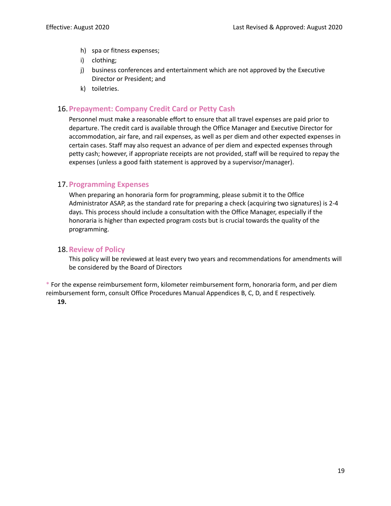- h) spa or fitness expenses;
- i) clothing;
- j) business conferences and entertainment which are not approved by the Executive Director or President; and
- k) toiletries.

## 16.**Prepayment: Company Credit Card or Petty Cash**

Personnel must make a reasonable effort to ensure that all travel expenses are paid prior to departure. The credit card is available through the Office Manager and Executive Director for accommodation, air fare, and rail expenses, as well as per diem and other expected expenses in certain cases. Staff may also request an advance of per diem and expected expenses through petty cash; however, if appropriate receipts are not provided, staff will be required to repay the expenses (unless a good faith statement is approved by a supervisor/manager).

# 17.**Programming Expenses**

When preparing an honoraria form for programming, please submit it to the Office Administrator ASAP, as the standard rate for preparing a check (acquiring two signatures) is 2-4 days. This process should include a consultation with the Office Manager, especially if the honoraria is higher than expected program costs but is crucial towards the quality of the programming.

## 18.**Review of Policy**

This policy will be reviewed at least every two years and recommendations for amendments will be considered by the Board of Directors

\* For the expense reimbursement form, kilometer reimbursement form, honoraria form, and per diem reimbursement form, consult Office Procedures Manual Appendices B, C, D, and E respectively. **19.**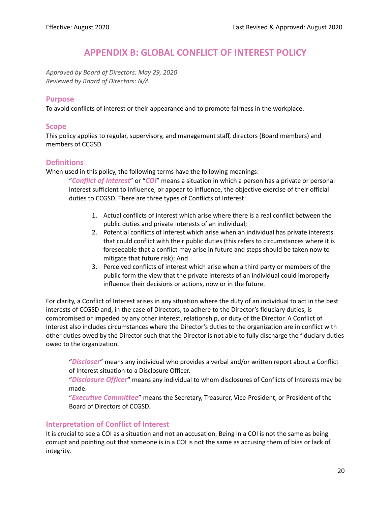# **APPENDIX B: GLOBAL CONFLICT OF INTEREST POLICY**

<span id="page-20-0"></span>*Approved by Board of Directors: May 29, 2020 Reviewed by Board of Directors: N/A*

#### **Purpose**

To avoid conflicts of interest or their appearance and to promote fairness in the workplace.

#### **Scope**

This policy applies to regular, supervisory, and management staff, directors (Board members) and members of CCGSD.

## **Definitions**

When used in this policy, the following terms have the following meanings:

"*Conflict of Interest*" or "*COI*" means a situation in which a person has a private or personal interest sufficient to influence, or appear to influence, the objective exercise of their official duties to CCGSD. There are three types of Conflicts of Interest:

- 1. Actual conflicts of interest which arise where there is a real conflict between the public duties and private interests of an individual;
- 2. Potential conflicts of interest which arise when an individual has private interests that could conflict with their public duties (this refers to circumstances where it is foreseeable that a conflict may arise in future and steps should be taken now to mitigate that future risk); And
- 3. Perceived conflicts of interest which arise when a third party or members of the public form the view that the private interests of an individual could improperly influence their decisions or actions, now or in the future.

For clarity, a Conflict of Interest arises in any situation where the duty of an individual to act in the best interests of CCGSD and, in the case of Directors, to adhere to the Director's fiduciary duties, is compromised or impeded by any other interest, relationship, or duty of the Director. A Conflict of Interest also includes circumstances where the Director's duties to the organization are in conflict with other duties owed by the Director such that the Director is not able to fully discharge the fiduciary duties owed to the organization.

"*Discloser*" means any individual who provides a verbal and/or written report about a Conflict of Interest situation to a Disclosure Officer.

"*Disclosure Officer***"** means any individual to whom disclosures of Conflicts of Interests may be made.

"*Executive Committee*" means the Secretary, Treasurer, Vice-President, or President of the Board of Directors of CCGSD.

## **Interpretation of Conflict of Interest**

It is crucial to see a COI as a situation and not an accusation. Being in a COI is not the same as being corrupt and pointing out that someone is in a COI is not the same as accusing them of bias or lack of integrity.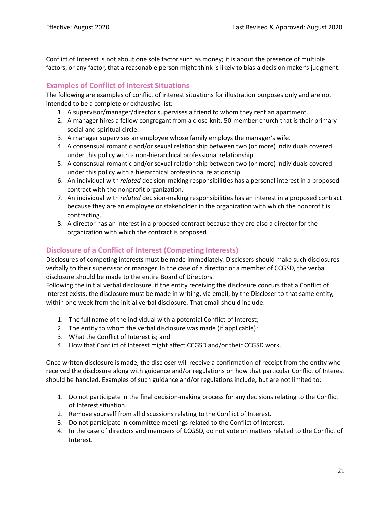Conflict of Interest is not about one sole factor such as money; it is about the presence of multiple factors, or any factor, that a reasonable person might think is likely to bias a decision maker's judgment.

# **Examples of Conflict of Interest Situations**

The following are examples of conflict of interest situations for illustration purposes only and are not intended to be a complete or exhaustive list:

- 1. A supervisor/manager/director supervises a friend to whom they rent an apartment.
- 2. A manager hires a fellow congregant from a close-knit, 50-member church that is their primary social and spiritual circle.
- 3. A manager supervises an employee whose family employs the manager's wife.
- 4. A consensual romantic and/or sexual relationship between two (or more) individuals covered under this policy with a non-hierarchical professional relationship.
- 5. A consensual romantic and/or sexual relationship between two (or more) individuals covered under this policy with a hierarchical professional relationship.
- 6. An individual with *related* decision-making responsibilities has a personal interest in a proposed contract with the nonprofit organization.
- 7. An individual with *related* decision-making responsibilities has an interest in a proposed contract because they are an employee or stakeholder in the organization with which the nonprofit is contracting.
- 8. A director has an interest in a proposed contract because they are also a director for the organization with which the contract is proposed.

# **Disclosure of a Conflict of Interest (Competing Interests)**

Disclosures of competing interests must be made immediately. Disclosers should make such disclosures verbally to their supervisor or manager. In the case of a director or a member of CCGSD, the verbal disclosure should be made to the entire Board of Directors.

Following the initial verbal disclosure, if the entity receiving the disclosure concurs that a Conflict of Interest exists, the disclosure must be made in writing, via email, by the Discloser to that same entity, within one week from the initial verbal disclosure. That email should include:

- 1. The full name of the individual with a potential Conflict of Interest;
- 2. The entity to whom the verbal disclosure was made (if applicable);
- 3. What the Conflict of Interest is; and
- 4. How that Conflict of Interest might affect CCGSD and/or their CCGSD work.

Once written disclosure is made, the discloser will receive a confirmation of receipt from the entity who received the disclosure along with guidance and/or regulations on how that particular Conflict of Interest should be handled. Examples of such guidance and/or regulations include, but are not limited to:

- 1. Do not participate in the final decision-making process for any decisions relating to the Conflict of Interest situation.
- 2. Remove yourself from all discussions relating to the Conflict of Interest.
- 3. Do not participate in committee meetings related to the Conflict of Interest.
- 4. In the case of directors and members of CCGSD, do not vote on matters related to the Conflict of Interest.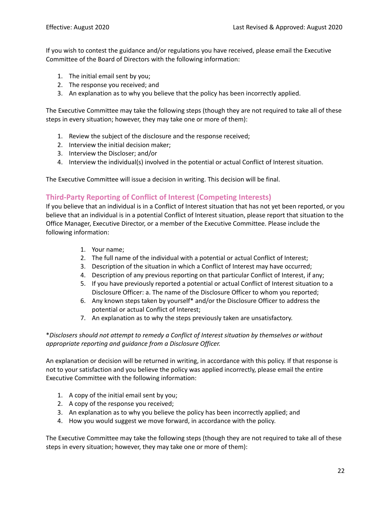If you wish to contest the guidance and/or regulations you have received, please email the Executive Committee of the Board of Directors with the following information:

- 1. The initial email sent by you;
- 2. The response you received; and
- 3. An explanation as to why you believe that the policy has been incorrectly applied.

The Executive Committee may take the following steps (though they are not required to take all of these steps in every situation; however, they may take one or more of them):

- 1. Review the subject of the disclosure and the response received;
- 2. Interview the initial decision maker;
- 3. Interview the Discloser; and/or
- 4. Interview the individual(s) involved in the potential or actual Conflict of Interest situation.

The Executive Committee will issue a decision in writing. This decision will be final.

## **Third-Party Reporting of Conflict of Interest (Competing Interests)**

If you believe that an individual is in a Conflict of Interest situation that has not yet been reported, or you believe that an individual is in a potential Conflict of Interest situation, please report that situation to the Office Manager, Executive Director, or a member of the Executive Committee. Please include the following information:

- 1. Your name;
- 2. The full name of the individual with a potential or actual Conflict of Interest;
- 3. Description of the situation in which a Conflict of Interest may have occurred;
- 4. Description of any previous reporting on that particular Conflict of Interest, if any;
- 5. If you have previously reported a potential or actual Conflict of Interest situation to a Disclosure Officer: a. The name of the Disclosure Officer to whom you reported;
- 6. Any known steps taken by yourself\* and/or the Disclosure Officer to address the potential or actual Conflict of Interest;
- 7. An explanation as to why the steps previously taken are unsatisfactory.

#### \**Disclosers should not attempt to remedy a Conflict of Interest situation by themselves or without appropriate reporting and guidance from a Disclosure Officer.*

An explanation or decision will be returned in writing, in accordance with this policy. If that response is not to your satisfaction and you believe the policy was applied incorrectly, please email the entire Executive Committee with the following information:

- 1. A copy of the initial email sent by you;
- 2. A copy of the response you received;
- 3. An explanation as to why you believe the policy has been incorrectly applied; and
- 4. How you would suggest we move forward, in accordance with the policy.

The Executive Committee may take the following steps (though they are not required to take all of these steps in every situation; however, they may take one or more of them):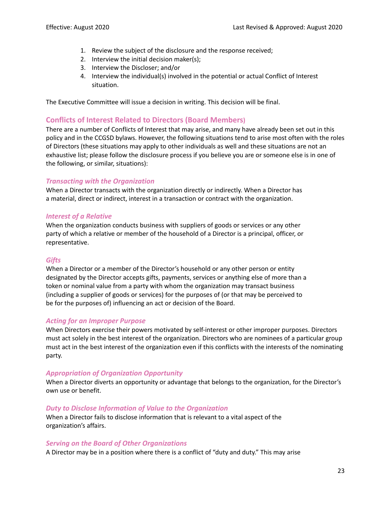- 1. Review the subject of the disclosure and the response received;
- 2. Interview the initial decision maker(s);
- 3. Interview the Discloser; and/or
- 4. Interview the individual(s) involved in the potential or actual Conflict of Interest situation.

The Executive Committee will issue a decision in writing. This decision will be final.

# **Conflicts of Interest Related to Directors (Board Members)**

There are a number of Conflicts of Interest that may arise, and many have already been set out in this policy and in the CCGSD bylaws. However, the following situations tend to arise most often with the roles of Directors (these situations may apply to other individuals as well and these situations are not an exhaustive list; please follow the disclosure process if you believe you are or someone else is in one of the following, or similar, situations):

## *Transacting with the Organization*

When a Director transacts with the organization directly or indirectly. When a Director has a material, direct or indirect, interest in a transaction or contract with the organization.

## *Interest of a Relative*

When the organization conducts business with suppliers of goods or services or any other party of which a relative or member of the household of a Director is a principal, officer, or representative.

## *Gifts*

When a Director or a member of the Director's household or any other person or entity designated by the Director accepts gifts, payments, services or anything else of more than a token or nominal value from a party with whom the organization may transact business (including a supplier of goods or services) for the purposes of (or that may be perceived to be for the purposes of) influencing an act or decision of the Board.

## *Acting for an Improper Purpose*

When Directors exercise their powers motivated by self-interest or other improper purposes. Directors must act solely in the best interest of the organization. Directors who are nominees of a particular group must act in the best interest of the organization even if this conflicts with the interests of the nominating party.

## *Appropriation of Organization Opportunity*

When a Director diverts an opportunity or advantage that belongs to the organization, for the Director's own use or benefit.

#### *Duty to Disclose Information of Value to the Organization*

When a Director fails to disclose information that is relevant to a vital aspect of the organization's affairs.

#### *Serving on the Board of Other Organizations*

A Director may be in a position where there is a conflict of "duty and duty." This may arise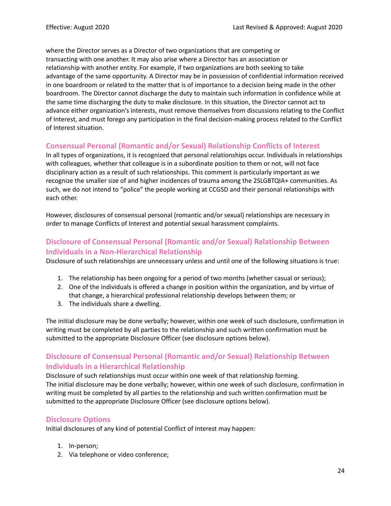where the Director serves as a Director of two organizations that are competing or transacting with one another. It may also arise where a Director has an association or relationship with another entity. For example, if two organizations are both seeking to take advantage of the same opportunity. A Director may be in possession of confidential information received in one boardroom or related to the matter that is of importance to a decision being made in the other boardroom. The Director cannot discharge the duty to maintain such information in confidence while at the same time discharging the duty to make disclosure. In this situation, the Director cannot act to advance either organization's interests, must remove themselves from discussions relating to the Conflict of Interest, and must forego any participation in the final decision-making process related to the Conflict of Interest situation.

# **Consensual Personal (Romantic and/or Sexual) Relationship Conflicts of Interest**

In all types of organizations, it is recognized that personal relationships occur. Individuals in relationships with colleagues, whether that colleague is in a subordinate position to them or not, will not face disciplinary action as a result of such relationships. This comment is particularly important as we recognize the smaller size of and higher incidences of trauma among the 2SLGBTQIA+ communities. As such, we do not intend to "police" the people working at CCGSD and their personal relationships with each other.

However, disclosures of consensual personal (romantic and/or sexual) relationships are necessary in order to manage Conflicts of Interest and potential sexual harassment complaints.

# **Disclosure of Consensual Personal (Romantic and/or Sexual) Relationship Between Individuals in a Non-Hierarchical Relationship**

Disclosure of such relationships are unnecessary unless and until one of the following situations is true:

- 1. The relationship has been ongoing for a period of two months (whether casual or serious);
- 2. One of the individuals is offered a change in position within the organization, and by virtue of that change, a hierarchical professional relationship develops between them; or
- 3. The individuals share a dwelling.

The initial disclosure may be done verbally; however, within one week of such disclosure, confirmation in writing must be completed by all parties to the relationship and such written confirmation must be submitted to the appropriate Disclosure Officer (see disclosure options below).

# **Disclosure of Consensual Personal (Romantic and/or Sexual) Relationship Between Individuals in a Hierarchical Relationship**

Disclosure of such relationships must occur within one week of that relationship forming. The initial disclosure may be done verbally; however, within one week of such disclosure, confirmation in writing must be completed by all parties to the relationship and such written confirmation must be submitted to the appropriate Disclosure Officer (see disclosure options below).

# **Disclosure Options**

Initial disclosures of any kind of potential Conflict of Interest may happen:

- 1. In-person;
- 2. Via telephone or video conference;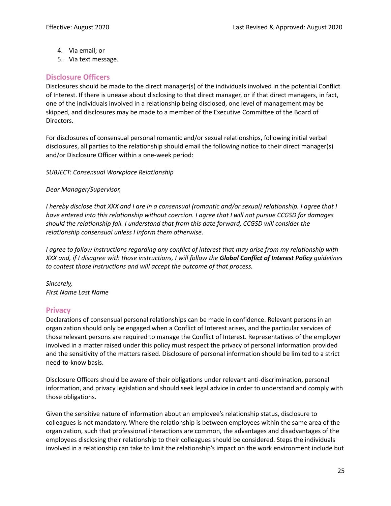- 4. Via email; or
- 5. Via text message.

# **Disclosure Officers**

Disclosures should be made to the direct manager(s) of the individuals involved in the potential Conflict of Interest. If there is unease about disclosing to that direct manager, or if that direct managers, in fact, one of the individuals involved in a relationship being disclosed, one level of management may be skipped, and disclosures may be made to a member of the Executive Committee of the Board of Directors.

For disclosures of consensual personal romantic and/or sexual relationships, following initial verbal disclosures, all parties to the relationship should email the following notice to their direct manager(s) and/or Disclosure Officer within a one-week period:

*SUBJECT: Consensual Workplace Relationship*

#### *Dear Manager/Supervisor,*

I hereby disclose that XXX and I are in a consensual (romantic and/or sexual) relationship. I agree that I *have entered into this relationship without coercion. I agree that I will not pursue CCGSD for damages should the relationship fail. I understand that from this date forward, CCGSD will consider the relationship consensual unless I inform them otherwise.*

I agree to follow instructions regarding any conflict of interest that may arise from my relationship with XXX and, if I disagree with those instructions, I will follow the Global Conflict of Interest Policy quidelines *to contest those instructions and will accept the outcome of that process.*

*Sincerely, First Name Last Name*

## **Privacy**

Declarations of consensual personal relationships can be made in confidence. Relevant persons in an organization should only be engaged when a Conflict of Interest arises, and the particular services of those relevant persons are required to manage the Conflict of Interest. Representatives of the employer involved in a matter raised under this policy must respect the privacy of personal information provided and the sensitivity of the matters raised. Disclosure of personal information should be limited to a strict need-to-know basis.

Disclosure Officers should be aware of their obligations under relevant anti-discrimination, personal information, and privacy legislation and should seek legal advice in order to understand and comply with those obligations.

Given the sensitive nature of information about an employee's relationship status, disclosure to colleagues is not mandatory. Where the relationship is between employees within the same area of the organization, such that professional interactions are common, the advantages and disadvantages of the employees disclosing their relationship to their colleagues should be considered. Steps the individuals involved in a relationship can take to limit the relationship's impact on the work environment include but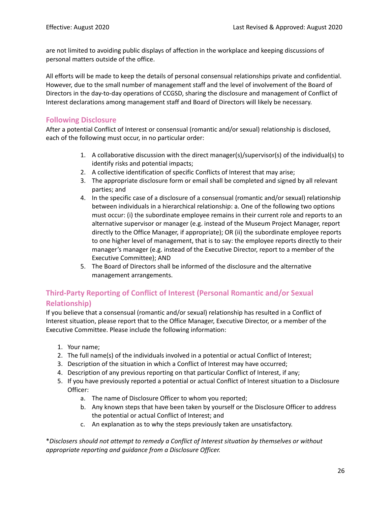are not limited to avoiding public displays of affection in the workplace and keeping discussions of personal matters outside of the office.

All efforts will be made to keep the details of personal consensual relationships private and confidential. However, due to the small number of management staff and the level of involvement of the Board of Directors in the day-to-day operations of CCGSD, sharing the disclosure and management of Conflict of Interest declarations among management staff and Board of Directors will likely be necessary.

# **Following Disclosure**

After a potential Conflict of Interest or consensual (romantic and/or sexual) relationship is disclosed, each of the following must occur, in no particular order:

- 1. A collaborative discussion with the direct manager(s)/supervisor(s) of the individual(s) to identify risks and potential impacts;
- 2. A collective identification of specific Conflicts of Interest that may arise;
- 3. The appropriate disclosure form or email shall be completed and signed by all relevant parties; and
- 4. In the specific case of a disclosure of a consensual (romantic and/or sexual) relationship between individuals in a hierarchical relationship: a. One of the following two options must occur: (i) the subordinate employee remains in their current role and reports to an alternative supervisor or manager (e.g. instead of the Museum Project Manager, report directly to the Office Manager, if appropriate); OR (ii) the subordinate employee reports to one higher level of management, that is to say: the employee reports directly to their manager's manager (e.g. instead of the Executive Director, report to a member of the Executive Committee); AND
- 5. The Board of Directors shall be informed of the disclosure and the alternative management arrangements.

# **Third-Party Reporting of Conflict of Interest (Personal Romantic and/or Sexual Relationship)**

If you believe that a consensual (romantic and/or sexual) relationship has resulted in a Conflict of Interest situation, please report that to the Office Manager, Executive Director, or a member of the Executive Committee. Please include the following information:

- 1. Your name;
- 2. The full name(s) of the individuals involved in a potential or actual Conflict of Interest;
- 3. Description of the situation in which a Conflict of Interest may have occurred;
- 4. Description of any previous reporting on that particular Conflict of Interest, if any;
- 5. If you have previously reported a potential or actual Conflict of Interest situation to a Disclosure Officer:
	- a. The name of Disclosure Officer to whom you reported;
	- b. Any known steps that have been taken by yourself or the Disclosure Officer to address the potential or actual Conflict of Interest; and
	- c. An explanation as to why the steps previously taken are unsatisfactory.

\**Disclosers should not attempt to remedy a Conflict of Interest situation by themselves or without appropriate reporting and guidance from a Disclosure Officer.*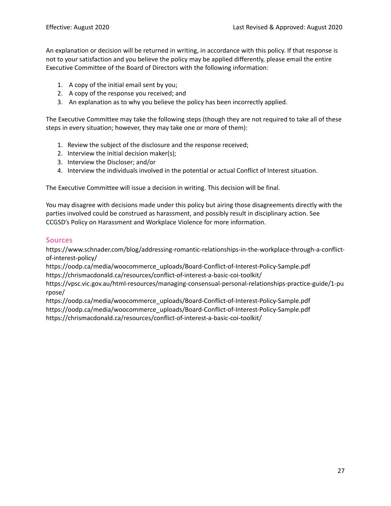An explanation or decision will be returned in writing, in accordance with this policy. If that response is not to your satisfaction and you believe the policy may be applied differently, please email the entire Executive Committee of the Board of Directors with the following information:

- 1. A copy of the initial email sent by you;
- 2. A copy of the response you received; and
- 3. An explanation as to why you believe the policy has been incorrectly applied.

The Executive Committee may take the following steps (though they are not required to take all of these steps in every situation; however, they may take one or more of them):

- 1. Review the subject of the disclosure and the response received;
- 2. Interview the initial decision maker(s);
- 3. Interview the Discloser; and/or
- 4. Interview the individuals involved in the potential or actual Conflict of Interest situation.

The Executive Committee will issue a decision in writing. This decision will be final.

You may disagree with decisions made under this policy but airing those disagreements directly with the parties involved could be construed as harassment, and possibly result in disciplinary action. See CCGSD's Policy on Harassment and Workplace Violence for more information.

#### **Sources**

https://www.schnader.com/blog/addressing-romantic-relationships-in-the-workplace-through-a-conflictof-interest-policy/

https://oodp.ca/media/woocommerce\_uploads/Board-Conflict-of-Interest-Policy-Sample.pdf https://chrismacdonald.ca/resources/conflict-of-interest-a-basic-coi-toolkit/

https://vpsc.vic.gov.au/html-resources/managing-consensual-personal-relationships-practice-guide/1-pu rpose/

https://oodp.ca/media/woocommerce\_uploads/Board-Conflict-of-Interest-Policy-Sample.pdf https://oodp.ca/media/woocommerce\_uploads/Board-Conflict-of-Interest-Policy-Sample.pdf https://chrismacdonald.ca/resources/conflict-of-interest-a-basic-coi-toolkit/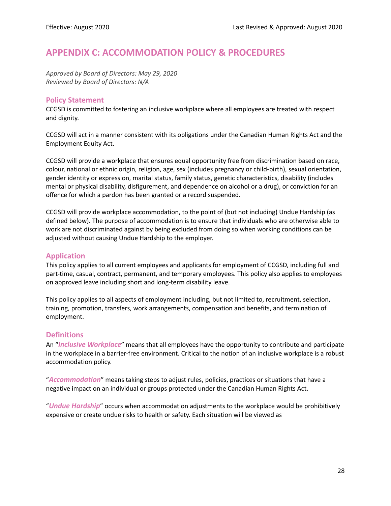# <span id="page-28-0"></span>**APPENDIX C: ACCOMMODATION POLICY & PROCEDURES**

*Approved by Board of Directors: May 29, 2020 Reviewed by Board of Directors: N/A*

## **Policy Statement**

CCGSD is committed to fostering an inclusive workplace where all employees are treated with respect and dignity.

CCGSD will act in a manner consistent with its obligations under the Canadian Human Rights Act and the Employment Equity Act.

CCGSD will provide a workplace that ensures equal opportunity free from discrimination based on race, colour, national or ethnic origin, religion, age, sex (includes pregnancy or child-birth), sexual orientation, gender identity or expression, marital status, family status, genetic characteristics, disability (includes mental or physical disability, disfigurement, and dependence on alcohol or a drug), or conviction for an offence for which a pardon has been granted or a record suspended.

CCGSD will provide workplace accommodation, to the point of (but not including) Undue Hardship (as defined below). The purpose of accommodation is to ensure that individuals who are otherwise able to work are not discriminated against by being excluded from doing so when working conditions can be adjusted without causing Undue Hardship to the employer.

# **Application**

This policy applies to all current employees and applicants for employment of CCGSD, including full and part-time, casual, contract, permanent, and temporary employees. This policy also applies to employees on approved leave including short and long-term disability leave.

This policy applies to all aspects of employment including, but not limited to, recruitment, selection, training, promotion, transfers, work arrangements, compensation and benefits, and termination of employment.

# **Definitions**

An "*Inclusive Workplace*" means that all employees have the opportunity to contribute and participate in the workplace in a barrier-free environment. Critical to the notion of an inclusive workplace is a robust accommodation policy.

"*Accommodation*" means taking steps to adjust rules, policies, practices or situations that have a negative impact on an individual or groups protected under the Canadian Human Rights Act.

"*Undue Hardship*" occurs when accommodation adjustments to the workplace would be prohibitively expensive or create undue risks to health or safety. Each situation will be viewed as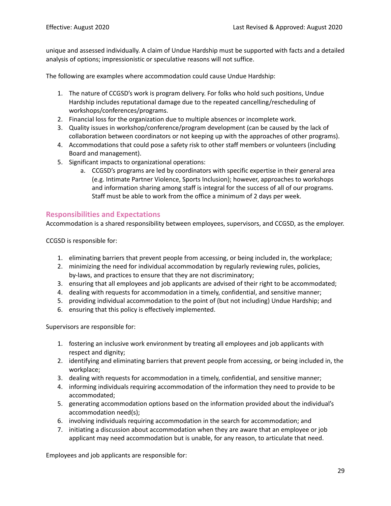unique and assessed individually. A claim of Undue Hardship must be supported with facts and a detailed analysis of options; impressionistic or speculative reasons will not suffice.

The following are examples where accommodation could cause Undue Hardship:

- 1. The nature of CCGSD's work is program delivery. For folks who hold such positions, Undue Hardship includes reputational damage due to the repeated cancelling/rescheduling of workshops/conferences/programs.
- 2. Financial loss for the organization due to multiple absences or incomplete work.
- 3. Quality issues in workshop/conference/program development (can be caused by the lack of collaboration between coordinators or not keeping up with the approaches of other programs).
- 4. Accommodations that could pose a safety risk to other staff members or volunteers (including Board and management).
- 5. Significant impacts to organizational operations:
	- a. CCGSD's programs are led by coordinators with specific expertise in their general area (e.g. Intimate Partner Violence, Sports Inclusion); however, approaches to workshops and information sharing among staff is integral for the success of all of our programs. Staff must be able to work from the office a minimum of 2 days per week.

## **Responsibilities and Expectations**

Accommodation is a shared responsibility between employees, supervisors, and CCGSD, as the employer.

CCGSD is responsible for:

- 1. eliminating barriers that prevent people from accessing, or being included in, the workplace;
- 2. minimizing the need for individual accommodation by regularly reviewing rules, policies, by-laws, and practices to ensure that they are not discriminatory;
- 3. ensuring that all employees and job applicants are advised of their right to be accommodated;
- 4. dealing with requests for accommodation in a timely, confidential, and sensitive manner;
- 5. providing individual accommodation to the point of (but not including) Undue Hardship; and
- 6. ensuring that this policy is effectively implemented.

Supervisors are responsible for:

- 1. fostering an inclusive work environment by treating all employees and job applicants with respect and dignity;
- 2. identifying and eliminating barriers that prevent people from accessing, or being included in, the workplace;
- 3. dealing with requests for accommodation in a timely, confidential, and sensitive manner;
- 4. informing individuals requiring accommodation of the information they need to provide to be accommodated;
- 5. generating accommodation options based on the information provided about the individual's accommodation need(s);
- 6. involving individuals requiring accommodation in the search for accommodation; and
- 7. initiating a discussion about accommodation when they are aware that an employee or job applicant may need accommodation but is unable, for any reason, to articulate that need.

Employees and job applicants are responsible for: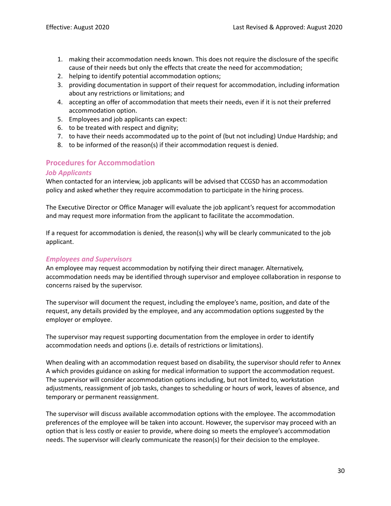- 1. making their accommodation needs known. This does not require the disclosure of the specific cause of their needs but only the effects that create the need for accommodation;
- 2. helping to identify potential accommodation options;
- 3. providing documentation in support of their request for accommodation, including information about any restrictions or limitations; and
- 4. accepting an offer of accommodation that meets their needs, even if it is not their preferred accommodation option.
- 5. Employees and job applicants can expect:
- 6. to be treated with respect and dignity;
- 7. to have their needs accommodated up to the point of (but not including) Undue Hardship; and
- 8. to be informed of the reason(s) if their accommodation request is denied.

# **Procedures for Accommodation**

#### *Job Applicants*

When contacted for an interview, job applicants will be advised that CCGSD has an accommodation policy and asked whether they require accommodation to participate in the hiring process.

The Executive Director or Office Manager will evaluate the job applicant's request for accommodation and may request more information from the applicant to facilitate the accommodation.

If a request for accommodation is denied, the reason(s) why will be clearly communicated to the job applicant.

## *Employees and Supervisors*

An employee may request accommodation by notifying their direct manager. Alternatively, accommodation needs may be identified through supervisor and employee collaboration in response to concerns raised by the supervisor.

The supervisor will document the request, including the employee's name, position, and date of the request, any details provided by the employee, and any accommodation options suggested by the employer or employee.

The supervisor may request supporting documentation from the employee in order to identify accommodation needs and options (i.e. details of restrictions or limitations).

When dealing with an accommodation request based on disability, the supervisor should refer to Annex A which provides guidance on asking for medical information to support the accommodation request. The supervisor will consider accommodation options including, but not limited to, workstation adjustments, reassignment of job tasks, changes to scheduling or hours of work, leaves of absence, and temporary or permanent reassignment.

The supervisor will discuss available accommodation options with the employee. The accommodation preferences of the employee will be taken into account. However, the supervisor may proceed with an option that is less costly or easier to provide, where doing so meets the employee's accommodation needs. The supervisor will clearly communicate the reason(s) for their decision to the employee.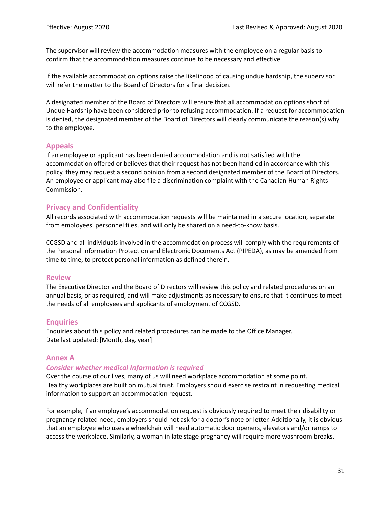The supervisor will review the accommodation measures with the employee on a regular basis to confirm that the accommodation measures continue to be necessary and effective.

If the available accommodation options raise the likelihood of causing undue hardship, the supervisor will refer the matter to the Board of Directors for a final decision.

A designated member of the Board of Directors will ensure that all accommodation options short of Undue Hardship have been considered prior to refusing accommodation. If a request for accommodation is denied, the designated member of the Board of Directors will clearly communicate the reason(s) why to the employee.

# **Appeals**

If an employee or applicant has been denied accommodation and is not satisfied with the accommodation offered or believes that their request has not been handled in accordance with this policy, they may request a second opinion from a second designated member of the Board of Directors. An employee or applicant may also file a discrimination complaint with the Canadian Human Rights Commission.

# **Privacy and Confidentiality**

All records associated with accommodation requests will be maintained in a secure location, separate from employees' personnel files, and will only be shared on a need-to-know basis.

CCGSD and all individuals involved in the accommodation process will comply with the requirements of the Personal Information Protection and Electronic Documents Act (PIPEDA), as may be amended from time to time, to protect personal information as defined therein.

## **Review**

The Executive Director and the Board of Directors will review this policy and related procedures on an annual basis, or as required, and will make adjustments as necessary to ensure that it continues to meet the needs of all employees and applicants of employment of CCGSD.

## **Enquiries**

Enquiries about this policy and related procedures can be made to the Office Manager. Date last updated: [Month, day, year]

# **Annex A**

## *Consider whether medical Information is required*

Over the course of our lives, many of us will need workplace accommodation at some point. Healthy workplaces are built on mutual trust. Employers should exercise restraint in requesting medical information to support an accommodation request.

For example, if an employee's accommodation request is obviously required to meet their disability or pregnancy-related need, employers should not ask for a doctor's note or letter. Additionally, it is obvious that an employee who uses a wheelchair will need automatic door openers, elevators and/or ramps to access the workplace. Similarly, a woman in late stage pregnancy will require more washroom breaks.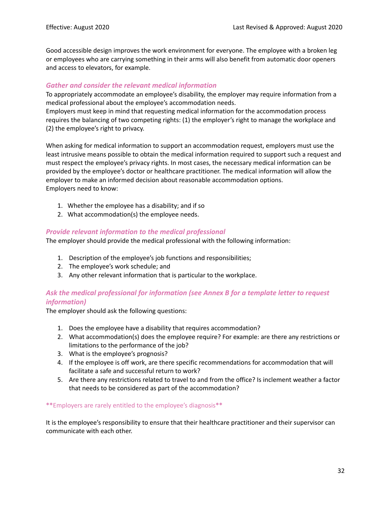Good accessible design improves the work environment for everyone. The employee with a broken leg or employees who are carrying something in their arms will also benefit from automatic door openers and access to elevators, for example.

#### *Gather and consider the relevant medical information*

To appropriately accommodate an employee's disability, the employer may require information from a medical professional about the employee's accommodation needs.

Employers must keep in mind that requesting medical information for the accommodation process requires the balancing of two competing rights: (1) the employer's right to manage the workplace and (2) the employee's right to privacy.

When asking for medical information to support an accommodation request, employers must use the least intrusive means possible to obtain the medical information required to support such a request and must respect the employee's privacy rights. In most cases, the necessary medical information can be provided by the employee's doctor or healthcare practitioner. The medical information will allow the employer to make an informed decision about reasonable accommodation options. Employers need to know:

- 1. Whether the employee has a disability; and if so
- 2. What accommodation(s) the employee needs.

## *Provide relevant information to the medical professional*

The employer should provide the medical professional with the following information:

- 1. Description of the employee's job functions and responsibilities;
- 2. The employee's work schedule; and
- 3. Any other relevant information that is particular to the workplace.

# *Ask the medical professional for information (see Annex B for a template letter to request information)*

The employer should ask the following questions:

- 1. Does the employee have a disability that requires accommodation?
- 2. What accommodation(s) does the employee require? For example: are there any restrictions or limitations to the performance of the job?
- 3. What is the employee's prognosis?
- 4. If the employee is off work, are there specific recommendations for accommodation that will facilitate a safe and successful return to work?
- 5. Are there any restrictions related to travel to and from the office? Is inclement weather a factor that needs to be considered as part of the accommodation?

#### **\*\***Employers are rarely entitled to the employee's diagnosis**\*\***

It is the employee's responsibility to ensure that their healthcare practitioner and their supervisor can communicate with each other.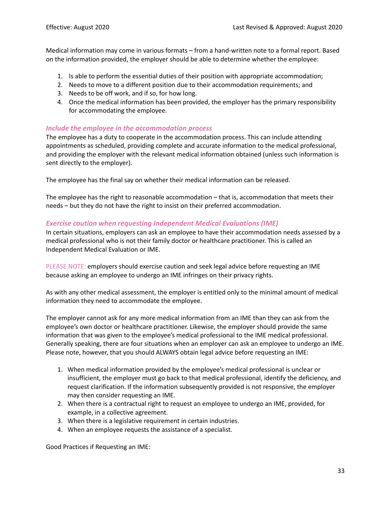Medical information may come in various formats – from a hand-written note to a formal report. Based on the information provided, the employer should be able to determine whether the employee:

- 1. Is able to perform the essential duties of their position with appropriate accommodation;
- 2. Needs to move to a different position due to their accommodation requirements; and
- 3. Needs to be off work, and if so, for how long.
- 4. Once the medical information has been provided, the employer has the primary responsibility for accommodating the employee.

## *Include the employee in the accommodation process*

The employee has a duty to cooperate in the accommodation process. This can include attending appointments as scheduled, providing complete and accurate information to the medical professional, and providing the employer with the relevant medical information obtained (unless such information is sent directly to the employer).

The employee has the final say on whether their medical information can be released.

The employee has the right to reasonable accommodation – that is, accommodation that meets their needs – but they do not have the right to insist on their preferred accommodation.

## *Exercise caution when requesting Independent Medical Evaluations (IME)*

In certain situations, employers can ask an employee to have their accommodation needs assessed by a medical professional who is not their family doctor or healthcare practitioner. This is called an Independent Medical Evaluation or IME.

PLEASE NOTE: employers should exercise caution and seek legal advice before requesting an IME because asking an employee to undergo an IME infringes on their privacy rights.

As with any other medical assessment, the employer is entitled only to the minimal amount of medical information they need to accommodate the employee.

The employer cannot ask for any more medical information from an IME than they can ask from the employee's own doctor or healthcare practitioner. Likewise, the employer should provide the same information that was given to the employee's medical professional to the IME medical professional. Generally speaking, there are four situations when an employer can ask an employee to undergo an IME. Please note, however, that you should ALWAYS obtain legal advice before requesting an IME:

- 1. When medical information provided by the employee's medical professional is unclear or insufficient, the employer must go back to that medical professional, identify the deficiency, and request clarification. If the information subsequently provided is not responsive, the employer may then consider requesting an IME.
- 2. When there is a contractual right to request an employee to undergo an IME, provided, for example, in a collective agreement.
- 3. When there is a legislative requirement in certain industries.
- 4. When an employee requests the assistance of a specialist.

Good Practices if Requesting an IME: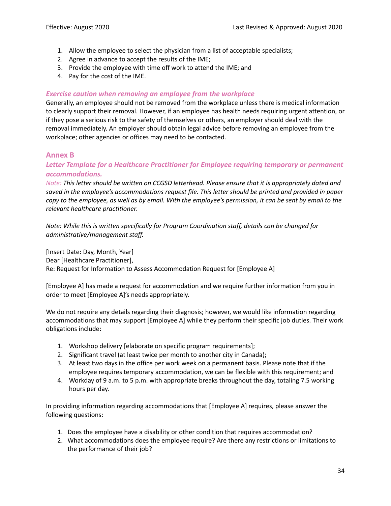- 1. Allow the employee to select the physician from a list of acceptable specialists;
- 2. Agree in advance to accept the results of the IME;
- 3. Provide the employee with time off work to attend the IME; and
- 4. Pay for the cost of the IME.

## *Exercise caution when removing an employee from the workplace*

Generally, an employee should not be removed from the workplace unless there is medical information to clearly support their removal. However, if an employee has health needs requiring urgent attention, or if they pose a serious risk to the safety of themselves or others, an employer should deal with the removal immediately. An employer should obtain legal advice before removing an employee from the workplace; other agencies or offices may need to be contacted.

# **Annex B**

# *Letter Template for a Healthcare Practitioner for Employee requiring temporary or permanent accommodations.*

*Note: This letter should be written on CCGSD letterhead. Please ensure that it is appropriately dated and saved in the employee's accommodations request file. This letter should be printed and provided in paper* copy to the employee, as well as by email. With the employee's permission, it can be sent by email to the *relevant healthcare practitioner.*

*Note: While this is written specifically for Program Coordination staff, details can be changed for administrative/management staff.*

[Insert Date: Day, Month, Year] Dear [Healthcare Practitioner], Re: Request for Information to Assess Accommodation Request for [Employee A]

[Employee A] has made a request for accommodation and we require further information from you in order to meet [Employee A]'s needs appropriately.

We do not require any details regarding their diagnosis; however, we would like information regarding accommodations that may support [Employee A] while they perform their specific job duties. Their work obligations include:

- 1. Workshop delivery [elaborate on specific program requirements];
- 2. Significant travel (at least twice per month to another city in Canada);
- 3. At least two days in the office per work week on a permanent basis. Please note that if the employee requires temporary accommodation, we can be flexible with this requirement; and
- 4. Workday of 9 a.m. to 5 p.m. with appropriate breaks throughout the day, totaling 7.5 working hours per day.

In providing information regarding accommodations that [Employee A] requires, please answer the following questions:

- 1. Does the employee have a disability or other condition that requires accommodation?
- 2. What accommodations does the employee require? Are there any restrictions or limitations to the performance of their job?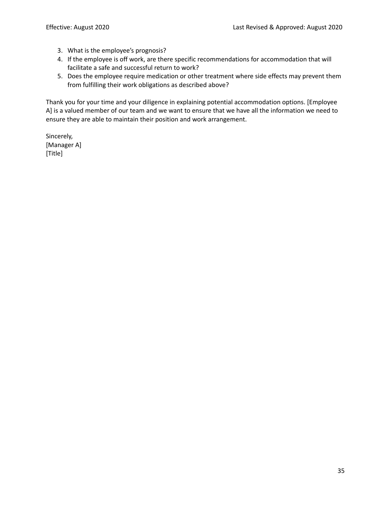- 3. What is the employee's prognosis?
- 4. If the employee is off work, are there specific recommendations for accommodation that will facilitate a safe and successful return to work?
- 5. Does the employee require medication or other treatment where side effects may prevent them from fulfilling their work obligations as described above?

Thank you for your time and your diligence in explaining potential accommodation options. [Employee A] is a valued member of our team and we want to ensure that we have all the information we need to ensure they are able to maintain their position and work arrangement.

Sincerely, [Manager A] [Title]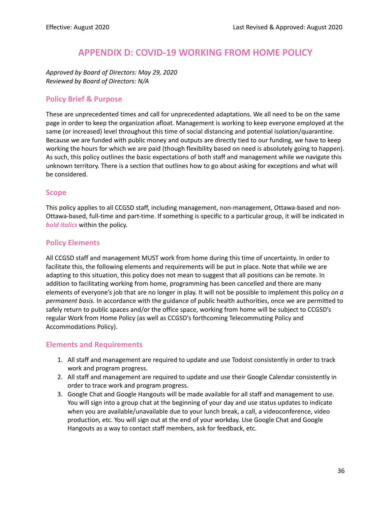# **APPENDIX D: COVID-19 WORKING FROM HOME POLICY**

<span id="page-36-0"></span>*Approved by Board of Directors: May 29, 2020 Reviewed by Board of Directors: N/A*

# **Policy Brief & Purpose**

These are unprecedented times and call for unprecedented adaptations. We all need to be on the same page in order to keep the organization afloat. Management is working to keep everyone employed at the same (or increased) level throughout this time of social distancing and potential isolation/quarantine. Because we are funded with public money and outputs are directly tied to our funding, we have to keep working the hours for which we are paid (though flexibility based on need is absolutely going to happen). As such, this policy outlines the basic expectations of both staff and management while we navigate this unknown territory. There is a section that outlines how to go about asking for exceptions and what will be considered.

#### **Scope**

This policy applies to all CCGSD staff, including management, non-management, Ottawa-based and non-Ottawa-based, full-time and part-time. If something is specific to a particular group, it will be indicated in *bold italics* within the policy.

## **Policy Elements**

All CCGSD staff and management MUST work from home during this time of uncertainty. In order to facilitate this, the following elements and requirements will be put in place. Note that while we are adapting to this situation, this policy does not mean to suggest that all positions can be remote. In addition to facilitating working from home, programming has been cancelled and there are many elements of everyone's job that are no longer in play. It will not be possible to implement this policy *on a permanent basis.* In accordance with the guidance of public health authorities, once we are permitted to safely return to public spaces and/or the office space, working from home will be subject to CCGSD's regular Work from Home Policy (as well as CCGSD's forthcoming Telecommuting Policy and Accommodations Policy).

# **Elements and Requirements**

- 1. All staff and management are required to update and use Todoist consistently in order to track work and program progress.
- 2. All staff and management are required to update and use their Google Calendar consistently in order to trace work and program progress.
- 3. Google Chat and Google Hangouts will be made available for all staff and management to use. You will sign into a group chat at the beginning of your day and use status updates to indicate when you are available/unavailable due to your lunch break, a call, a videoconference, video production, etc. You will sign out at the end of your workday. Use Google Chat and Google Hangouts as a way to contact staff members, ask for feedback, etc.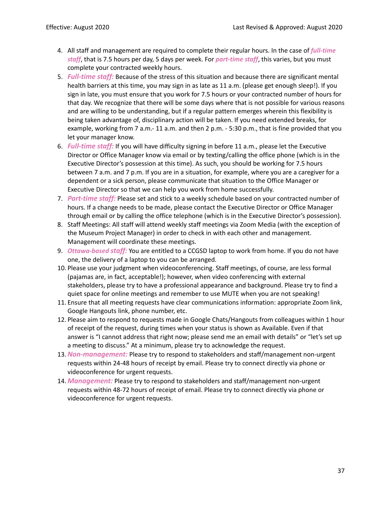- 4. All staff and management are required to complete their regular hours. In the case of *full-time staff*, that is 7.5 hours per day, 5 days per week. For *part-time staff*, this varies, but you must complete your contracted weekly hours.
- 5. *Full-time staff:* Because of the stress of this situation and because there are significant mental health barriers at this time, you may sign in as late as 11 a.m. (please get enough sleep!). If you sign in late, you must ensure that you work for 7.5 hours or your contracted number of hours for that day. We recognize that there will be some days where that is not possible for various reasons and are willing to be understanding, but if a regular pattern emerges wherein this flexibility is being taken advantage of, disciplinary action will be taken. If you need extended breaks, for example, working from 7 a.m.- 11 a.m. and then 2 p.m. - 5:30 p.m., that is fine provided that you let your manager know.
- 6. *Full-time staff:* If you will have difficulty signing in before 11 a.m., please let the Executive Director or Office Manager know via email or by texting/calling the office phone (which is in the Executive Director's possession at this time). As such, you should be working for 7.5 hours between 7 a.m. and 7 p.m. If you are in a situation, for example, where you are a caregiver for a dependent or a sick person, please communicate that situation to the Office Manager or Executive Director so that we can help you work from home successfully.
- 7. *Part-time staff:* Please set and stick to a weekly schedule based on your contracted number of hours. If a change needs to be made, please contact the Executive Director or Office Manager through email or by calling the office telephone (which is in the Executive Director's possession).
- 8. Staff Meetings: All staff will attend weekly staff meetings via Zoom Media (with the exception of the Museum Project Manager) in order to check in with each other and management. Management will coordinate these meetings.
- 9. *Ottawa-based staff:* You are entitled to a CCGSD laptop to work from home. If you do not have one, the delivery of a laptop to you can be arranged.
- 10. Please use your judgment when videoconferencing. Staff meetings, of course, are less formal (pajamas are, in fact, acceptable!); however, when video conferencing with external stakeholders, please try to have a professional appearance and background. Please try to find a quiet space for online meetings and remember to use MUTE when you are not speaking!
- 11. Ensure that all meeting requests have clear communications information: appropriate Zoom link, Google Hangouts link, phone number, etc.
- 12. Please aim to respond to requests made in Google Chats/Hangouts from colleagues within 1 hour of receipt of the request, during times when your status is shown as Available. Even if that answer is "I cannot address that right now; please send me an email with details" or "let's set up a meeting to discuss." At a minimum, please try to acknowledge the request.
- 13.*Non-management:* Please try to respond to stakeholders and staff/management non-urgent requests within 24-48 hours of receipt by email. Please try to connect directly via phone or videoconference for urgent requests.
- 14. *Management:* Please try to respond to stakeholders and staff/management non-urgent requests within 48-72 hours of receipt of email. Please try to connect directly via phone or videoconference for urgent requests.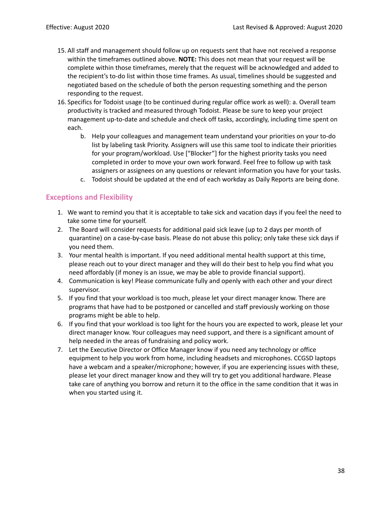- 15. All staff and management should follow up on requests sent that have not received a response within the timeframes outlined above. **NOTE:** This does not mean that your request will be complete within those timeframes, merely that the request will be acknowledged and added to the recipient's to-do list within those time frames. As usual, timelines should be suggested and negotiated based on the schedule of both the person requesting something and the person responding to the request.
- 16. Specifics for Todoist usage (to be continued during regular office work as well): a. Overall team productivity is tracked and measured through Todoist. Please be sure to keep your project management up-to-date and schedule and check off tasks, accordingly, including time spent on each.
	- b. Help your colleagues and management team understand your priorities on your to-do list by labeling task Priority. Assigners will use this same tool to indicate their priorities for your program/workload. Use ["Blocker"] for the highest priority tasks you need completed in order to move your own work forward. Feel free to follow up with task assigners or assignees on any questions or relevant information you have for your tasks.
	- c. Todoist should be updated at the end of each workday as Daily Reports are being done.

# **Exceptions and Flexibility**

- 1. We want to remind you that it is acceptable to take sick and vacation days if you feel the need to take some time for yourself.
- 2. The Board will consider requests for additional paid sick leave (up to 2 days per month of quarantine) on a case-by-case basis. Please do not abuse this policy; only take these sick days if you need them.
- 3. Your mental health is important. If you need additional mental health support at this time, please reach out to your direct manager and they will do their best to help you find what you need affordably (if money is an issue, we may be able to provide financial support).
- 4. Communication is key! Please communicate fully and openly with each other and your direct supervisor.
- 5. If you find that your workload is too much, please let your direct manager know. There are programs that have had to be postponed or cancelled and staff previously working on those programs might be able to help.
- 6. If you find that your workload is too light for the hours you are expected to work, please let your direct manager know. Your colleagues may need support, and there is a significant amount of help needed in the areas of fundraising and policy work.
- 7. Let the Executive Director or Office Manager know if you need any technology or office equipment to help you work from home, including headsets and microphones. CCGSD laptops have a webcam and a speaker/microphone; however, if you are experiencing issues with these, please let your direct manager know and they will try to get you additional hardware. Please take care of anything you borrow and return it to the office in the same condition that it was in when you started using it.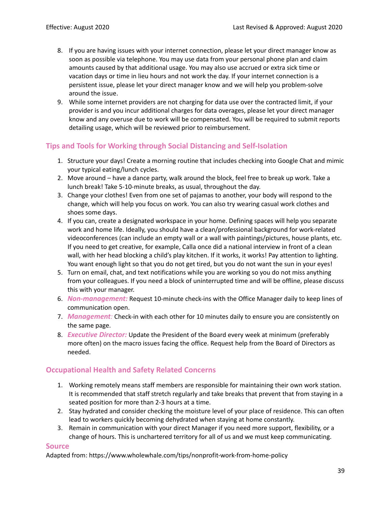- 8. If you are having issues with your internet connection, please let your direct manager know as soon as possible via telephone. You may use data from your personal phone plan and claim amounts caused by that additional usage. You may also use accrued or extra sick time or vacation days or time in lieu hours and not work the day. If your internet connection is a persistent issue, please let your direct manager know and we will help you problem-solve around the issue.
- 9. While some internet providers are not charging for data use over the contracted limit, if your provider is and you incur additional charges for data overages, please let your direct manager know and any overuse due to work will be compensated. You will be required to submit reports detailing usage, which will be reviewed prior to reimbursement.

# **Tips and Tools for Working through Social Distancing and Self-Isolation**

- 1. Structure your days! Create a morning routine that includes checking into Google Chat and mimic your typical eating/lunch cycles.
- 2. Move around have a dance party, walk around the block, feel free to break up work. Take a lunch break! Take 5-10-minute breaks, as usual, throughout the day.
- 3. Change your clothes! Even from one set of pajamas to another, your body will respond to the change, which will help you focus on work. You can also try wearing casual work clothes and shoes some days.
- 4. If you can, create a designated workspace in your home. Defining spaces will help you separate work and home life. Ideally, you should have a clean/professional background for work-related videoconferences (can include an empty wall or a wall with paintings/pictures, house plants, etc. If you need to get creative, for example, Calla once did a national interview in front of a clean wall, with her head blocking a child's play kitchen. If it works, it works! Pay attention to lighting. You want enough light so that you do not get tired, but you do not want the sun in your eyes!
- 5. Turn on email, chat, and text notifications while you are working so you do not miss anything from your colleagues. If you need a block of uninterrupted time and will be offline, please discuss this with your manager.
- 6. *Non-management:* Request 10-minute check-ins with the Office Manager daily to keep lines of communication open.
- 7. *Management:* Check-in with each other for 10 minutes daily to ensure you are consistently on the same page.
- 8. *Executive Director:* Update the President of the Board every week at minimum (preferably more often) on the macro issues facing the office. Request help from the Board of Directors as needed.

# **Occupational Health and Safety Related Concerns**

- 1. Working remotely means staff members are responsible for maintaining their own work station. It is recommended that staff stretch regularly and take breaks that prevent that from staying in a seated position for more than 2-3 hours at a time.
- 2. Stay hydrated and consider checking the moisture level of your place of residence. This can often lead to workers quickly becoming dehydrated when staying at home constantly.
- 3. Remain in communication with your direct Manager if you need more support, flexibility, or a change of hours. This is unchartered territory for all of us and we must keep communicating.

## **Source**

Adapted from: https://www.wholewhale.com/tips/nonprofit-work-from-home-policy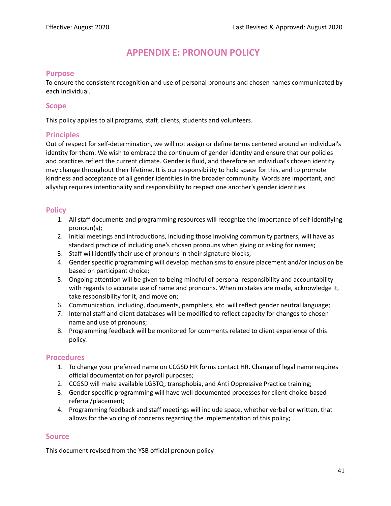# **APPENDIX E: PRONOUN POLICY**

#### <span id="page-41-0"></span>**Purpose**

To ensure the consistent recognition and use of personal pronouns and chosen names communicated by each individual.

#### **Scope**

This policy applies to all programs, staff, clients, students and volunteers.

## **Principles**

Out of respect for self-determination, we will not assign or define terms centered around an individual's identity for them. We wish to embrace the continuum of gender identity and ensure that our policies and practices reflect the current climate. Gender is fluid, and therefore an individual's chosen identity may change throughout their lifetime. It is our responsibility to hold space for this, and to promote kindness and acceptance of all gender identities in the broader community. Words are important, and allyship requires intentionality and responsibility to respect one another's gender identities.

# **Policy**

- 1. All staff documents and programming resources will recognize the importance of self-identifying pronoun(s);
- 2. Initial meetings and introductions, including those involving community partners, will have as standard practice of including one's chosen pronouns when giving or asking for names;
- 3. Staff will identify their use of pronouns in their signature blocks;
- 4. Gender specific programming will develop mechanisms to ensure placement and/or inclusion be based on participant choice;
- 5. Ongoing attention will be given to being mindful of personal responsibility and accountability with regards to accurate use of name and pronouns. When mistakes are made, acknowledge it, take responsibility for it, and move on;
- 6. Communication, including, documents, pamphlets, etc. will reflect gender neutral language;
- 7. Internal staff and client databases will be modified to reflect capacity for changes to chosen name and use of pronouns;
- 8. Programming feedback will be monitored for comments related to client experience of this policy.

## **Procedures**

- 1. To change your preferred name on CCGSD HR forms contact HR. Change of legal name requires official documentation for payroll purposes;
- 2. CCGSD will make available LGBTQ, transphobia, and Anti Oppressive Practice training;
- 3. Gender specific programming will have well documented processes for client-choice-based referral/placement;
- 4. Programming feedback and staff meetings will include space, whether verbal or written, that allows for the voicing of concerns regarding the implementation of this policy;

## **Source**

This document revised from the YSB official pronoun policy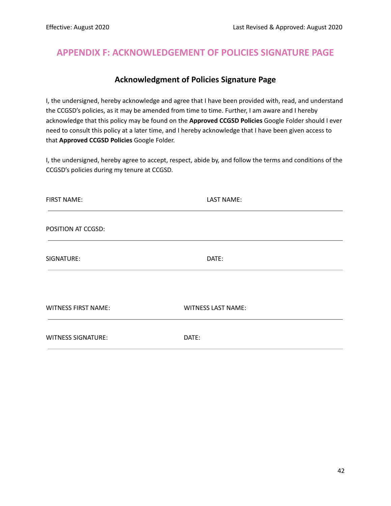# <span id="page-42-0"></span>**APPENDIX F: ACKNOWLEDGEMENT OF POLICIES SIGNATURE PAGE**

# **Acknowledgment of Policies Signature Page**

I, the undersigned, hereby acknowledge and agree that I have been provided with, read, and understand the CCGSD's policies, as it may be amended from time to time. Further, I am aware and I hereby acknowledge that this policy may be found on the **Approved CCGSD Policies** Google Folder should I ever need to consult this policy at a later time, and I hereby acknowledge that I have been given access to that **Approved CCGSD Policies** Google Folder.

I, the undersigned, hereby agree to accept, respect, abide by, and follow the terms and conditions of the CCGSD's policies during my tenure at CCGSD.

| <b>FIRST NAME:</b>         | LAST NAME:                |  |
|----------------------------|---------------------------|--|
| POSITION AT CCGSD:         |                           |  |
| SIGNATURE:                 | DATE:                     |  |
| <b>WITNESS FIRST NAME:</b> | <b>WITNESS LAST NAME:</b> |  |
| <b>WITNESS SIGNATURE:</b>  | DATE:                     |  |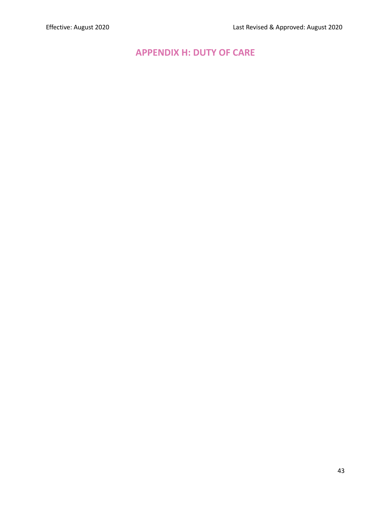# <span id="page-43-0"></span>**APPENDIX H: DUTY OF CARE**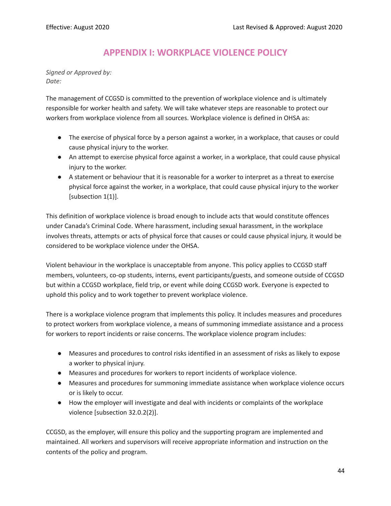# **APPENDIX I: WORKPLACE VIOLENCE POLICY**

<span id="page-44-0"></span>*Signed or Approved by: Date:*

The management of CCGSD is committed to the prevention of workplace violence and is ultimately responsible for worker health and safety. We will take whatever steps are reasonable to protect our workers from workplace violence from all sources. Workplace violence is defined in OHSA as:

- **●** The exercise of physical force by a person against a worker, in a workplace, that causes or could cause physical injury to the worker.
- **●** An attempt to exercise physical force against a worker, in a workplace, that could cause physical injury to the worker.
- **●** A statement or behaviour that it is reasonable for a worker to interpret as a threat to exercise physical force against the worker, in a workplace, that could cause physical injury to the worker [subsection 1(1)].

This definition of workplace violence is broad enough to include acts that would constitute offences under Canada's Criminal Code. Where harassment, including sexual harassment, in the workplace involves threats, attempts or acts of physical force that causes or could cause physical injury, it would be considered to be workplace violence under the OHSA.

Violent behaviour in the workplace is unacceptable from anyone. This policy applies to CCGSD staff members, volunteers, co-op students, interns, event participants/guests, and someone outside of CCGSD but within a CCGSD workplace, field trip, or event while doing CCGSD work. Everyone is expected to uphold this policy and to work together to prevent workplace violence.

There is a workplace violence program that implements this policy. It includes measures and procedures to protect workers from workplace violence, a means of summoning immediate assistance and a process for workers to report incidents or raise concerns. The workplace violence program includes:

- Measures and procedures to control risks identified in an assessment of risks as likely to expose a worker to physical injury.
- Measures and procedures for workers to report incidents of workplace violence.
- Measures and procedures for summoning immediate assistance when workplace violence occurs or is likely to occur.
- How the employer will investigate and deal with incidents or complaints of the workplace violence [subsection 32.0.2(2)].

CCGSD, as the employer, will ensure this policy and the supporting program are implemented and maintained. All workers and supervisors will receive appropriate information and instruction on the contents of the policy and program.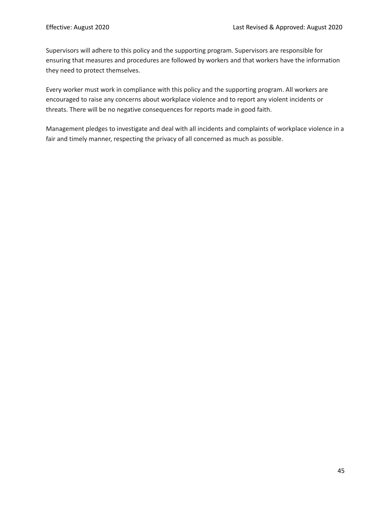Supervisors will adhere to this policy and the supporting program. Supervisors are responsible for ensuring that measures and procedures are followed by workers and that workers have the information they need to protect themselves.

Every worker must work in compliance with this policy and the supporting program. All workers are encouraged to raise any concerns about workplace violence and to report any violent incidents or threats. There will be no negative consequences for reports made in good faith.

Management pledges to investigate and deal with all incidents and complaints of workplace violence in a fair and timely manner, respecting the privacy of all concerned as much as possible.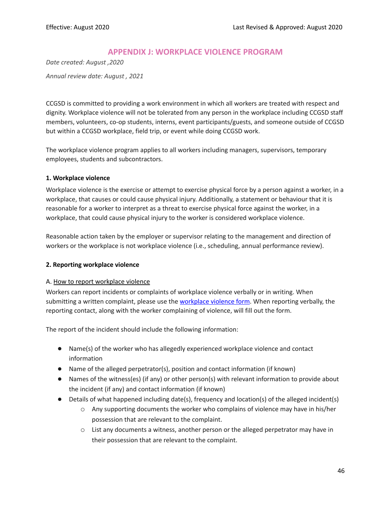# **APPENDIX J: WORKPLACE VIOLENCE PROGRAM**

<span id="page-46-0"></span>*Date created: August ,2020 Annual review date: August , 2021*

CCGSD is committed to providing a work environment in which all workers are treated with respect and dignity. Workplace violence will not be tolerated from any person in the workplace including CCGSD staff members, volunteers, co-op students, interns, event participants/guests, and someone outside of CCGSD but within a CCGSD workplace, field trip, or event while doing CCGSD work.

The workplace violence program applies to all workers including managers, supervisors, temporary employees, students and subcontractors.

#### **1. Workplace violence**

Workplace violence is the exercise or attempt to exercise physical force by a person against a worker, in a workplace, that causes or could cause physical injury. Additionally, a statement or behaviour that it is reasonable for a worker to interpret as a threat to exercise physical force against the worker, in a workplace, that could cause physical injury to the worker is considered workplace violence.

Reasonable action taken by the employer or supervisor relating to the management and direction of workers or the workplace is not workplace violence (i.e., scheduling, annual performance review).

#### **2. Reporting workplace violence**

#### A. How to report workplace violence

Workers can report incidents or complaints of workplace violence verbally or in writing. When submitting a written complaint, please use the [workplace](#page-50-0) violence form. When reporting verbally, the reporting contact, along with the worker complaining of violence, will fill out the form.

The report of the incident should include the following information:

- Name(s) of the worker who has allegedly experienced workplace violence and contact information
- Name of the alleged perpetrator(s), position and contact information (if known)
- Names of the witness(es) (if any) or other person(s) with relevant information to provide about the incident (if any) and contact information (if known)
- Details of what happened including date(s), frequency and location(s) of the alleged incident(s)
	- o Any supporting documents the worker who complains of violence may have in his/her possession that are relevant to the complaint.
	- o List any documents a witness, another person or the alleged perpetrator may have in their possession that are relevant to the complaint.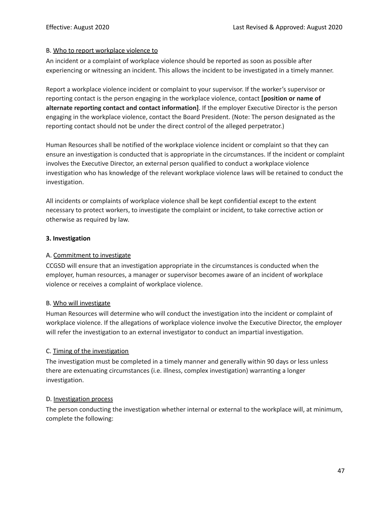#### B. Who to report workplace violence to

An incident or a complaint of workplace violence should be reported as soon as possible after experiencing or witnessing an incident. This allows the incident to be investigated in a timely manner.

Report a workplace violence incident or complaint to your supervisor. If the worker's supervisor or reporting contact is the person engaging in the workplace violence, contact **[position or name of alternate reporting contact and contact information]**. If the employer Executive Director is the person engaging in the workplace violence, contact the Board President. (Note: The person designated as the reporting contact should not be under the direct control of the alleged perpetrator.)

Human Resources shall be notified of the workplace violence incident or complaint so that they can ensure an investigation is conducted that is appropriate in the circumstances. If the incident or complaint involves the Executive Director, an external person qualified to conduct a workplace violence investigation who has knowledge of the relevant workplace violence laws will be retained to conduct the investigation.

All incidents or complaints of workplace violence shall be kept confidential except to the extent necessary to protect workers, to investigate the complaint or incident, to take corrective action or otherwise as required by law.

#### **3. Investigation**

#### A. Commitment to investigate

CCGSD will ensure that an investigation appropriate in the circumstances is conducted when the employer, human resources, a manager or supervisor becomes aware of an incident of workplace violence or receives a complaint of workplace violence.

#### B. Who will investigate

Human Resources will determine who will conduct the investigation into the incident or complaint of workplace violence. If the allegations of workplace violence involve the Executive Director, the employer will refer the investigation to an external investigator to conduct an impartial investigation.

## C. Timing of the investigation

The investigation must be completed in a timely manner and generally within 90 days or less unless there are extenuating circumstances (i.e. illness, complex investigation) warranting a longer investigation.

#### D. Investigation process

The person conducting the investigation whether internal or external to the workplace will, at minimum, complete the following: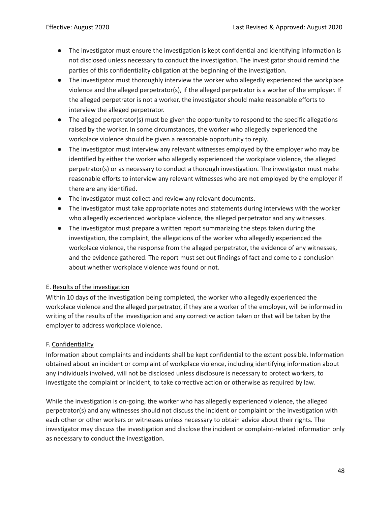- The investigator must ensure the investigation is kept confidential and identifying information is not disclosed unless necessary to conduct the investigation. The investigator should remind the parties of this confidentiality obligation at the beginning of the investigation.
- The investigator must thoroughly interview the worker who allegedly experienced the workplace violence and the alleged perpetrator(s), if the alleged perpetrator is a worker of the employer. If the alleged perpetrator is not a worker, the investigator should make reasonable efforts to interview the alleged perpetrator.
- The alleged perpetrator(s) must be given the opportunity to respond to the specific allegations raised by the worker. In some circumstances, the worker who allegedly experienced the workplace violence should be given a reasonable opportunity to reply.
- The investigator must interview any relevant witnesses employed by the employer who may be identified by either the worker who allegedly experienced the workplace violence, the alleged perpetrator(s) or as necessary to conduct a thorough investigation. The investigator must make reasonable efforts to interview any relevant witnesses who are not employed by the employer if there are any identified.
- The investigator must collect and review any relevant documents.
- The investigator must take appropriate notes and statements during interviews with the worker who allegedly experienced workplace violence, the alleged perpetrator and any witnesses.
- The investigator must prepare a written report summarizing the steps taken during the investigation, the complaint, the allegations of the worker who allegedly experienced the workplace violence, the response from the alleged perpetrator, the evidence of any witnesses, and the evidence gathered. The report must set out findings of fact and come to a conclusion about whether workplace violence was found or not.

## E. Results of the investigation

Within 10 days of the investigation being completed, the worker who allegedly experienced the workplace violence and the alleged perpetrator, if they are a worker of the employer, will be informed in writing of the results of the investigation and any corrective action taken or that will be taken by the employer to address workplace violence.

# F. Confidentiality

Information about complaints and incidents shall be kept confidential to the extent possible. Information obtained about an incident or complaint of workplace violence, including identifying information about any individuals involved, will not be disclosed unless disclosure is necessary to protect workers, to investigate the complaint or incident, to take corrective action or otherwise as required by law.

While the investigation is on-going, the worker who has allegedly experienced violence, the alleged perpetrator(s) and any witnesses should not discuss the incident or complaint or the investigation with each other or other workers or witnesses unless necessary to obtain advice about their rights. The investigator may discuss the investigation and disclose the incident or complaint-related information only as necessary to conduct the investigation.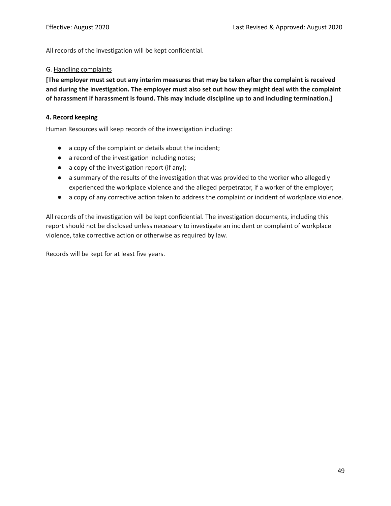All records of the investigation will be kept confidential.

#### G. Handling complaints

**[The employer must set out any interim measures that may be taken after the complaint is received and during the investigation. The employer must also set out how they might deal with the complaint of harassment if harassment is found. This may include discipline up to and including termination.]**

#### **4. Record keeping**

Human Resources will keep records of the investigation including:

- a copy of the complaint or details about the incident;
- a record of the investigation including notes;
- a copy of the investigation report (if any);
- a summary of the results of the investigation that was provided to the worker who allegedly experienced the workplace violence and the alleged perpetrator, if a worker of the employer;
- a copy of any corrective action taken to address the complaint or incident of workplace violence.

All records of the investigation will be kept confidential. The investigation documents, including this report should not be disclosed unless necessary to investigate an incident or complaint of workplace violence, take corrective action or otherwise as required by law.

Records will be kept for at least five years.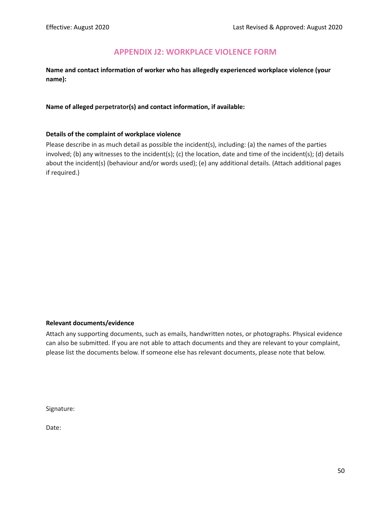# **APPENDIX J2: WORKPLACE VIOLENCE FORM**

<span id="page-50-0"></span>**Name and contact information of worker who has allegedly experienced workplace violence (your name):**

#### **Name of alleged perpetrator(s) and contact information, if available:**

#### **Details of the complaint of workplace violence**

Please describe in as much detail as possible the incident(s), including: (a) the names of the parties involved; (b) any witnesses to the incident(s); (c) the location, date and time of the incident(s); (d) details about the incident(s) (behaviour and/or words used); (e) any additional details. (Attach additional pages if required.)

#### **Relevant documents/evidence**

Attach any supporting documents, such as emails, handwritten notes, or photographs. Physical evidence can also be submitted. If you are not able to attach documents and they are relevant to your complaint, please list the documents below. If someone else has relevant documents, please note that below.

Signature:

Date: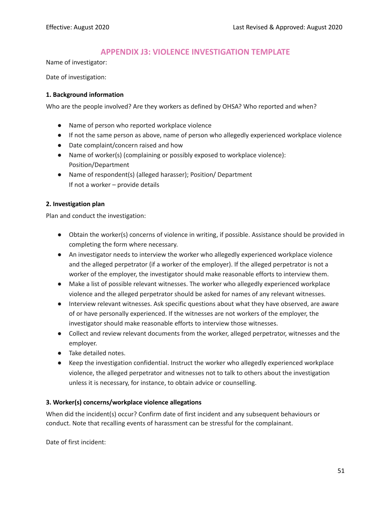# **APPENDIX J3: VIOLENCE INVESTIGATION TEMPLATE**

<span id="page-51-0"></span>Name of investigator:

Date of investigation:

#### **1. Background information**

Who are the people involved? Are they workers as defined by OHSA? Who reported and when?

- Name of person who reported workplace violence
- If not the same person as above, name of person who allegedly experienced workplace violence
- Date complaint/concern raised and how
- Name of worker(s) (complaining or possibly exposed to workplace violence): Position/Department
- Name of respondent(s) (alleged harasser); Position/ Department If not a worker – provide details

#### **2. Investigation plan**

Plan and conduct the investigation:

- Obtain the worker(s) concerns of violence in writing, if possible. Assistance should be provided in completing the form where necessary.
- An investigator needs to interview the worker who allegedly experienced workplace violence and the alleged perpetrator (if a worker of the employer). If the alleged perpetrator is not a worker of the employer, the investigator should make reasonable efforts to interview them.
- Make a list of possible relevant witnesses. The worker who allegedly experienced workplace violence and the alleged perpetrator should be asked for names of any relevant witnesses.
- Interview relevant witnesses. Ask specific questions about what they have observed, are aware of or have personally experienced. If the witnesses are not workers of the employer, the investigator should make reasonable efforts to interview those witnesses.
- Collect and review relevant documents from the worker, alleged perpetrator, witnesses and the employer.
- Take detailed notes.
- Keep the investigation confidential. Instruct the worker who allegedly experienced workplace violence, the alleged perpetrator and witnesses not to talk to others about the investigation unless it is necessary, for instance, to obtain advice or counselling.

## **3. Worker(s) concerns/workplace violence allegations**

When did the incident(s) occur? Confirm date of first incident and any subsequent behaviours or conduct. Note that recalling events of harassment can be stressful for the complainant.

Date of first incident: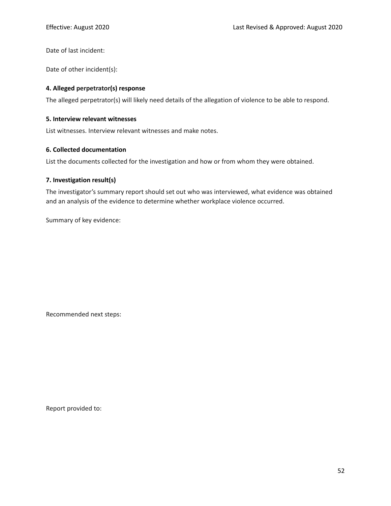Date of last incident:

Date of other incident(s):

#### **4. Alleged perpetrator(s) response**

The alleged perpetrator(s) will likely need details of the allegation of violence to be able to respond.

#### **5. Interview relevant witnesses**

List witnesses. Interview relevant witnesses and make notes.

#### **6. Collected documentation**

List the documents collected for the investigation and how or from whom they were obtained.

#### **7. Investigation result(s)**

The investigator's summary report should set out who was interviewed, what evidence was obtained and an analysis of the evidence to determine whether workplace violence occurred.

Summary of key evidence:

Recommended next steps:

Report provided to: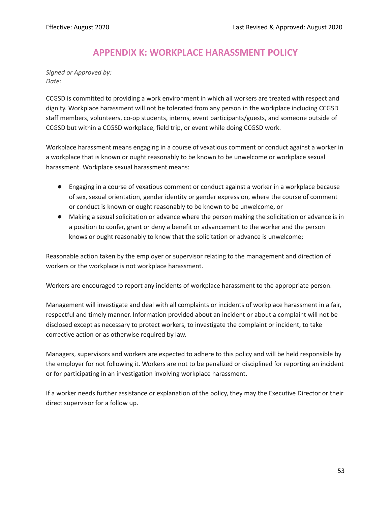# **APPENDIX K: WORKPLACE HARASSMENT POLICY**

<span id="page-53-0"></span>*Signed or Approved by: Date:*

CCGSD is committed to providing a work environment in which all workers are treated with respect and dignity. Workplace harassment will not be tolerated from any person in the workplace including CCGSD staff members, volunteers, co-op students, interns, event participants/guests, and someone outside of CCGSD but within a CCGSD workplace, field trip, or event while doing CCGSD work.

Workplace harassment means engaging in a course of vexatious comment or conduct against a worker in a workplace that is known or ought reasonably to be known to be unwelcome or workplace sexual harassment. Workplace sexual harassment means:

- Engaging in a course of vexatious comment or conduct against a worker in a workplace because of sex, sexual orientation, gender identity or gender expression, where the course of comment or conduct is known or ought reasonably to be known to be unwelcome, or
- Making a sexual solicitation or advance where the person making the solicitation or advance is in a position to confer, grant or deny a benefit or advancement to the worker and the person knows or ought reasonably to know that the solicitation or advance is unwelcome;

Reasonable action taken by the employer or supervisor relating to the management and direction of workers or the workplace is not workplace harassment.

Workers are encouraged to report any incidents of workplace harassment to the appropriate person.

Management will investigate and deal with all complaints or incidents of workplace harassment in a fair, respectful and timely manner. Information provided about an incident or about a complaint will not be disclosed except as necessary to protect workers, to investigate the complaint or incident, to take corrective action or as otherwise required by law.

Managers, supervisors and workers are expected to adhere to this policy and will be held responsible by the employer for not following it. Workers are not to be penalized or disciplined for reporting an incident or for participating in an investigation involving workplace harassment.

If a worker needs further assistance or explanation of the policy, they may the Executive Director or their direct supervisor for a follow up.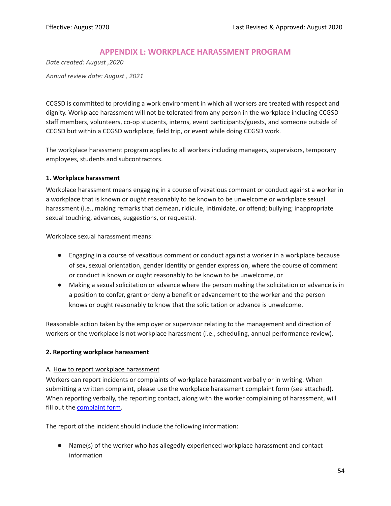# **APPENDIX L: WORKPLACE HARASSMENT PROGRAM**

<span id="page-54-0"></span>*Date created: August ,2020 Annual review date: August , 2021*

CCGSD is committed to providing a work environment in which all workers are treated with respect and dignity. Workplace harassment will not be tolerated from any person in the workplace including CCGSD staff members, volunteers, co-op students, interns, event participants/guests, and someone outside of CCGSD but within a CCGSD workplace, field trip, or event while doing CCGSD work.

The workplace harassment program applies to all workers including managers, supervisors, temporary employees, students and subcontractors.

#### **1. Workplace harassment**

Workplace harassment means engaging in a course of vexatious comment or conduct against a worker in a workplace that is known or ought reasonably to be known to be unwelcome or workplace sexual harassment (i.e., making remarks that demean, ridicule, intimidate, or offend; bullying; inappropriate sexual touching, advances, suggestions, or requests).

Workplace sexual harassment means:

- Engaging in a course of vexatious comment or conduct against a worker in a workplace because of sex, sexual orientation, gender identity or gender expression, where the course of comment or conduct is known or ought reasonably to be known to be unwelcome, or
- Making a sexual solicitation or advance where the person making the solicitation or advance is in a position to confer, grant or deny a benefit or advancement to the worker and the person knows or ought reasonably to know that the solicitation or advance is unwelcome.

Reasonable action taken by the employer or supervisor relating to the management and direction of workers or the workplace is not workplace harassment (i.e., scheduling, annual performance review).

#### **2. Reporting workplace harassment**

#### A. How to report workplace harassment

Workers can report incidents or complaints of workplace harassment verbally or in writing. When submitting a written complaint, please use the workplace harassment complaint form (see attached). When reporting verbally, the reporting contact, along with the worker complaining of harassment, will fill out the complaint form.

The report of the incident should include the following information:

● Name(s) of the worker who has allegedly experienced workplace harassment and contact information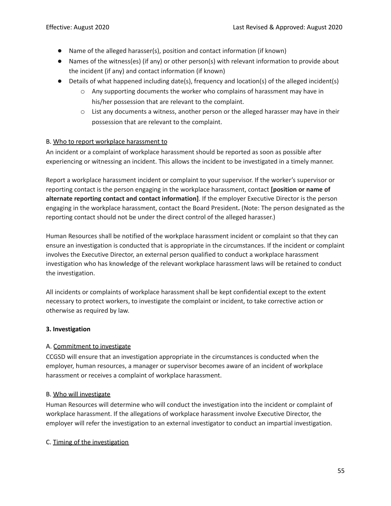- Name of the alleged harasser(s), position and contact information (if known)
- Names of the witness(es) (if any) or other person(s) with relevant information to provide about the incident (if any) and contact information (if known)
- Details of what happened including date(s), frequency and location(s) of the alleged incident(s)
	- $\circ$  Any supporting documents the worker who complains of harassment may have in his/her possession that are relevant to the complaint.
	- $\circ$  List any documents a witness, another person or the alleged harasser may have in their possession that are relevant to the complaint.

#### B. Who to report workplace harassment to

An incident or a complaint of workplace harassment should be reported as soon as possible after experiencing or witnessing an incident. This allows the incident to be investigated in a timely manner.

Report a workplace harassment incident or complaint to your supervisor. If the worker's supervisor or reporting contact is the person engaging in the workplace harassment, contact **[position or name of alternate reporting contact and contact information]**. If the employer Executive Director is the person engaging in the workplace harassment, contact the Board President**.** (Note: The person designated as the reporting contact should not be under the direct control of the alleged harasser.)

Human Resources shall be notified of the workplace harassment incident or complaint so that they can ensure an investigation is conducted that is appropriate in the circumstances. If the incident or complaint involves the Executive Director, an external person qualified to conduct a workplace harassment investigation who has knowledge of the relevant workplace harassment laws will be retained to conduct the investigation.

All incidents or complaints of workplace harassment shall be kept confidential except to the extent necessary to protect workers, to investigate the complaint or incident, to take corrective action or otherwise as required by law.

## **3. Investigation**

## A. Commitment to investigate

CCGSD will ensure that an investigation appropriate in the circumstances is conducted when the employer, human resources, a manager or supervisor becomes aware of an incident of workplace harassment or receives a complaint of workplace harassment.

#### B. Who will investigate

Human Resources will determine who will conduct the investigation into the incident or complaint of workplace harassment. If the allegations of workplace harassment involve Executive Director, the employer will refer the investigation to an external investigator to conduct an impartial investigation.

#### C. Timing of the investigation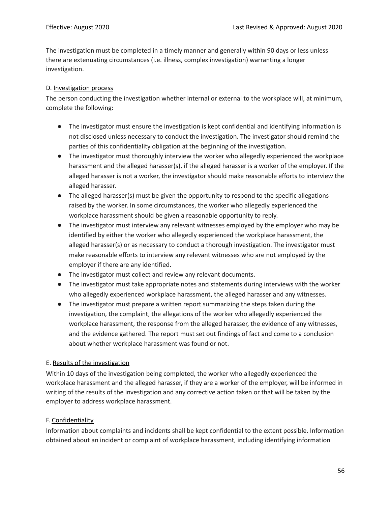The investigation must be completed in a timely manner and generally within 90 days or less unless there are extenuating circumstances (i.e. illness, complex investigation) warranting a longer investigation.

## D. Investigation process

The person conducting the investigation whether internal or external to the workplace will, at minimum, complete the following:

- The investigator must ensure the investigation is kept confidential and identifying information is not disclosed unless necessary to conduct the investigation. The investigator should remind the parties of this confidentiality obligation at the beginning of the investigation.
- The investigator must thoroughly interview the worker who allegedly experienced the workplace harassment and the alleged harasser(s), if the alleged harasser is a worker of the employer. If the alleged harasser is not a worker, the investigator should make reasonable efforts to interview the alleged harasser.
- The alleged harasser(s) must be given the opportunity to respond to the specific allegations raised by the worker. In some circumstances, the worker who allegedly experienced the workplace harassment should be given a reasonable opportunity to reply.
- The investigator must interview any relevant witnesses employed by the employer who may be identified by either the worker who allegedly experienced the workplace harassment, the alleged harasser(s) or as necessary to conduct a thorough investigation. The investigator must make reasonable efforts to interview any relevant witnesses who are not employed by the employer if there are any identified.
- The investigator must collect and review any relevant documents.
- The investigator must take appropriate notes and statements during interviews with the worker who allegedly experienced workplace harassment, the alleged harasser and any witnesses.
- The investigator must prepare a written report summarizing the steps taken during the investigation, the complaint, the allegations of the worker who allegedly experienced the workplace harassment, the response from the alleged harasser, the evidence of any witnesses, and the evidence gathered. The report must set out findings of fact and come to a conclusion about whether workplace harassment was found or not.

# E. Results of the investigation

Within 10 days of the investigation being completed, the worker who allegedly experienced the workplace harassment and the alleged harasser, if they are a worker of the employer, will be informed in writing of the results of the investigation and any corrective action taken or that will be taken by the employer to address workplace harassment.

# F. Confidentiality

Information about complaints and incidents shall be kept confidential to the extent possible. Information obtained about an incident or complaint of workplace harassment, including identifying information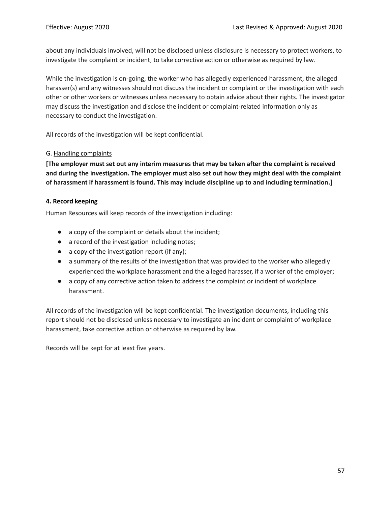about any individuals involved, will not be disclosed unless disclosure is necessary to protect workers, to investigate the complaint or incident, to take corrective action or otherwise as required by law.

While the investigation is on-going, the worker who has allegedly experienced harassment, the alleged harasser(s) and any witnesses should not discuss the incident or complaint or the investigation with each other or other workers or witnesses unless necessary to obtain advice about their rights. The investigator may discuss the investigation and disclose the incident or complaint-related information only as necessary to conduct the investigation.

All records of the investigation will be kept confidential.

#### G. Handling complaints

**[The employer must set out any interim measures that may be taken after the complaint is received and during the investigation. The employer must also set out how they might deal with the complaint of harassment if harassment is found. This may include discipline up to and including termination.]**

#### **4. Record keeping**

Human Resources will keep records of the investigation including:

- a copy of the complaint or details about the incident;
- a record of the investigation including notes;
- a copy of the investigation report (if any);
- a summary of the results of the investigation that was provided to the worker who allegedly experienced the workplace harassment and the alleged harasser, if a worker of the employer;
- a copy of any corrective action taken to address the complaint or incident of workplace harassment.

All records of the investigation will be kept confidential. The investigation documents, including this report should not be disclosed unless necessary to investigate an incident or complaint of workplace harassment, take corrective action or otherwise as required by law.

Records will be kept for at least five years.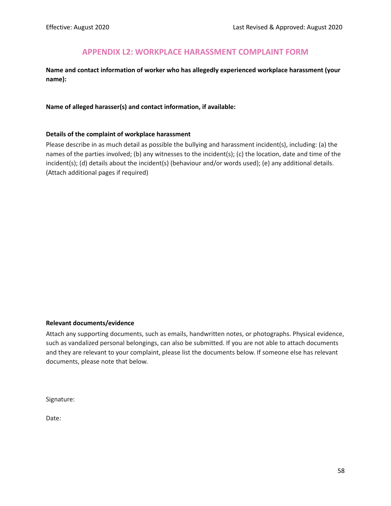# **APPENDIX L2: WORKPLACE HARASSMENT COMPLAINT FORM**

<span id="page-58-0"></span>**Name and contact information of worker who has allegedly experienced workplace harassment (your name):**

#### **Name of alleged harasser(s) and contact information, if available:**

#### **Details of the complaint of workplace harassment**

Please describe in as much detail as possible the bullying and harassment incident(s), including: (a) the names of the parties involved; (b) any witnesses to the incident(s); (c) the location, date and time of the incident(s); (d) details about the incident(s) (behaviour and/or words used); (e) any additional details. (Attach additional pages if required)

#### **Relevant documents/evidence**

Attach any supporting documents, such as emails, handwritten notes, or photographs. Physical evidence, such as vandalized personal belongings, can also be submitted. If you are not able to attach documents and they are relevant to your complaint, please list the documents below. If someone else has relevant documents, please note that below.

Signature:

Date: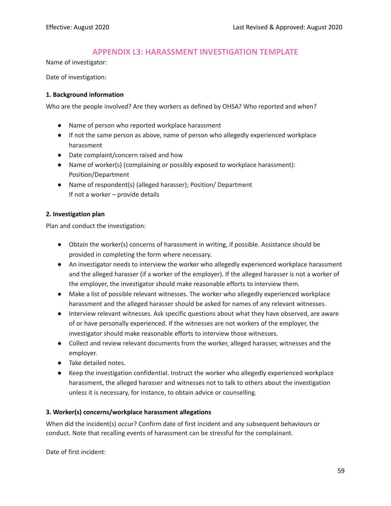# **APPENDIX L3: HARASSMENT INVESTIGATION TEMPLATE**

<span id="page-59-0"></span>Name of investigator:

Date of investigation:

#### **1. Background information**

Who are the people involved? Are they workers as defined by OHSA? Who reported and when?

- Name of person who reported workplace harassment
- If not the same person as above, name of person who allegedly experienced workplace harassment
- Date complaint/concern raised and how
- Name of worker(s) (complaining or possibly exposed to workplace harassment): Position/Department
- Name of respondent(s) (alleged harasser); Position/ Department If not a worker – provide details

## **2. Investigation plan**

Plan and conduct the investigation:

- Obtain the worker(s) concerns of harassment in writing, if possible. Assistance should be provided in completing the form where necessary.
- An investigator needs to interview the worker who allegedly experienced workplace harassment and the alleged harasser (if a worker of the employer). If the alleged harasser is not a worker of the employer, the investigator should make reasonable efforts to interview them.
- Make a list of possible relevant witnesses. The worker who allegedly experienced workplace harassment and the alleged harasser should be asked for names of any relevant witnesses.
- Interview relevant witnesses. Ask specific questions about what they have observed, are aware of or have personally experienced. If the witnesses are not workers of the employer, the investigator should make reasonable efforts to interview those witnesses.
- Collect and review relevant documents from the worker, alleged harasser, witnesses and the employer.
- Take detailed notes.
- Keep the investigation confidential. Instruct the worker who allegedly experienced workplace harassment, the alleged harasser and witnesses not to talk to others about the investigation unless it is necessary, for instance, to obtain advice or counselling.

#### **3. Worker(s) concerns/workplace harassment allegations**

When did the incident(s) occur? Confirm date of first incident and any subsequent behaviours or conduct. Note that recalling events of harassment can be stressful for the complainant.

Date of first incident: